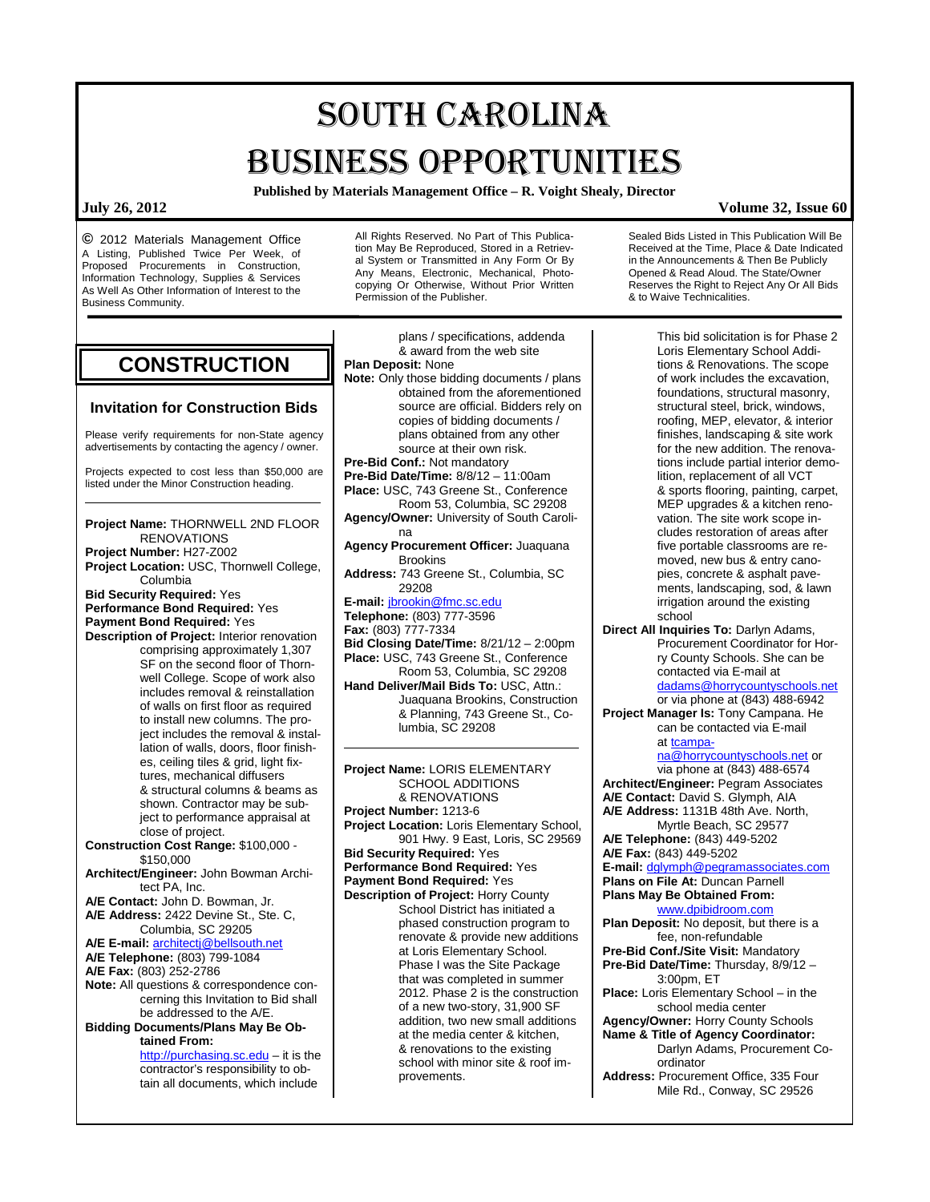# SOUTH CAROLINA BUSINESS OPPORTUNITIES

**Published by Materials Management Office – R. Voight Shealy, Director**

**©** 2012 Materials Management Office A Listing, Published Twice Per Week, of Proposed Procurements in Construction, Information Technology, Supplies & Services As Well As Other Information of Interest to the Business Community.

All Rights Reserved. No Part of This Publication May Be Reproduced, Stored in a Retrieval System or Transmitted in Any Form Or By Any Means, Electronic, Mechanical, Photocopying Or Otherwise, Without Prior Written Permission of the Publisher.

**CONSTRUCTION**

### **Invitation for Construction Bids**

Please verify requirements for non-State agency advertisements by contacting the agency / owner.

Projects expected to cost less than \$50,000 are listed under the Minor Construction heading.

**Project Name:** THORNWELL 2ND FLOOR RENOVATIONS **Project Number:** H27-Z002 **Project Location:** USC, Thornwell College, Columbia **Bid Security Required:** Yes **Performance Bond Required:** Yes **Payment Bond Required:** Yes **Description of Project:** Interior renovation comprising approximately 1,307 SF on the second floor of Thornwell College. Scope of work also includes removal & reinstallation of walls on first floor as required to install new columns. The project includes the removal & installation of walls, doors, floor finishes, ceiling tiles & grid, light fixtures, mechanical diffusers & structural columns & beams as shown. Contractor may be subject to performance appraisal at close of project. **Construction Cost Range:** \$100,000 - \$150,000 **Architect/Engineer:** John Bowman Architect PA, Inc. **A/E Contact:** John D. Bowman, Jr. **A/E Address:** 2422 Devine St., Ste. C, Columbia, SC 29205 **A/E E-mail:** [architectj@bellsouth.net](mailto:architectj@bellsouth.net) **A/E Telephone:** (803) 799-1084 **A/E Fax:** (803) 252-2786 **Note:** All questions & correspondence concerning this Invitation to Bid shall be addressed to the A/E. **Bidding Documents/Plans May Be Obtained From:**

[http://purchasing.sc.edu](http://purchasing.sc.edu/) - it is the contractor's responsibility to obtain all documents, which include

plans / specifications, addenda & award from the web site **Plan Deposit:** None **Note:** Only those bidding documents / plans obtained from the aforementioned source are official. Bidders rely on copies of bidding documents / plans obtained from any other source at their own risk. **Pre-Bid Conf.:** Not mandatory **Pre-Bid Date/Time:** 8/8/12 – 11:00am **Place:** USC, 743 Greene St., Conference Room 53, Columbia, SC 29208 **Agency/Owner:** University of South Carolina **Agency Procurement Officer:** Juaquana Brookins **Address:** 743 Greene St., Columbia, SC 29208 **E-mail:** [jbrookin@fmc.sc.edu](mailto:jbrookin@fmc.sc.edu) **Telephone:** (803) 777-3596 **Fax:** (803) 777-7334 **Bid Closing Date/Time:** 8/21/12 – 2:00pm **Place:** USC, 743 Greene St., Conference Room 53, Columbia, SC 29208 **Hand Deliver/Mail Bids To:** USC, Attn.: Juaquana Brookins, Construction & Planning, 743 Greene St., Columbia, SC 29208 **Project Name:** LORIS ELEMENTARY SCHOOL ADDITIONS & RENOVATIONS **Project Number:** 1213-6 **Project Location:** Loris Elementary School, 901 Hwy. 9 East, Loris, SC 29569 **Bid Security Required:** Yes **Performance Bond Required:** Yes **Payment Bond Required:** Yes **Description of Project:** Horry County School District has initiated a phased construction program to renovate & provide new additions at Loris Elementary School. Phase I was the Site Package that was completed in summer 2012. Phase 2 is the construction of a new two-story, 31,900 SF addition, two new small additions at the media center & kitchen, & renovations to the existing school with minor site & roof im-

provements.

Sealed Bids Listed in This Publication Will Be Received at the Time, Place & Date Indicated in the Announcements & Then Be Publicly Opened & Read Aloud. The State/Owner Reserves the Right to Reject Any Or All Bids & to Waive Technicalities.

This bid solicitation is for Phase 2 Loris Elementary School Additions & Renovations. The scope of work includes the excavation, foundations, structural masonry, structural steel, brick, windows, roofing, MEP, elevator, & interior finishes, landscaping & site work for the new addition. The renovations include partial interior demolition, replacement of all VCT & sports flooring, painting, carpet, MEP upgrades & a kitchen renovation. The site work scope includes restoration of areas after five portable classrooms are removed, new bus & entry canopies, concrete & asphalt pavements, landscaping, sod, & lawn irrigation around the existing school

**Direct All Inquiries To:** Darlyn Adams, Procurement Coordinator for Horry County Schools. She can be contacted via E-mail at [dadams@horrycountyschools.net](mailto:dadams@horrycountyschools.net) or via phone at (843) 488-6942

**Project Manager Is:** Tony Campana. He can be contacted via E-mail a[t tcampa-](mailto:tcampana@horrycountyschools.net)

[na@horrycountyschools.net](mailto:tcampana@horrycountyschools.net) or via phone at (843) 488-6574 **Architect/Engineer:** Pegram Associates **A/E Contact:** David S. Glymph, AIA **A/E Address:** 1131B 48th Ave. North, Myrtle Beach, SC 29577 **A/E Telephone:** (843) 449-5202 **A/E Fax:** (843) 449-5202 **E-mail:** [dglymph@pegramassociates.com](mailto:dglymph@pegramassociates.com) **Plans on File At:** Duncan Parnell **Plans May Be Obtained From:** [www.dpibidroom.com](http://www.dpibidroom.com/) **Plan Deposit:** No deposit, but there is a fee, non-refundable **Pre-Bid Conf./Site Visit:** Mandatory **Pre-Bid Date/Time:** Thursday, 8/9/12 – 3:00pm, ET **Place:** Loris Elementary School – in the school media center **Agency/Owner:** Horry County Schools

**Name & Title of Agency Coordinator:** Darlyn Adams, Procurement Coordinator

**Address:** Procurement Office, 335 Four Mile Rd., Conway, SC 29526

### **July 26, 2012 Volume 32, Issue 60**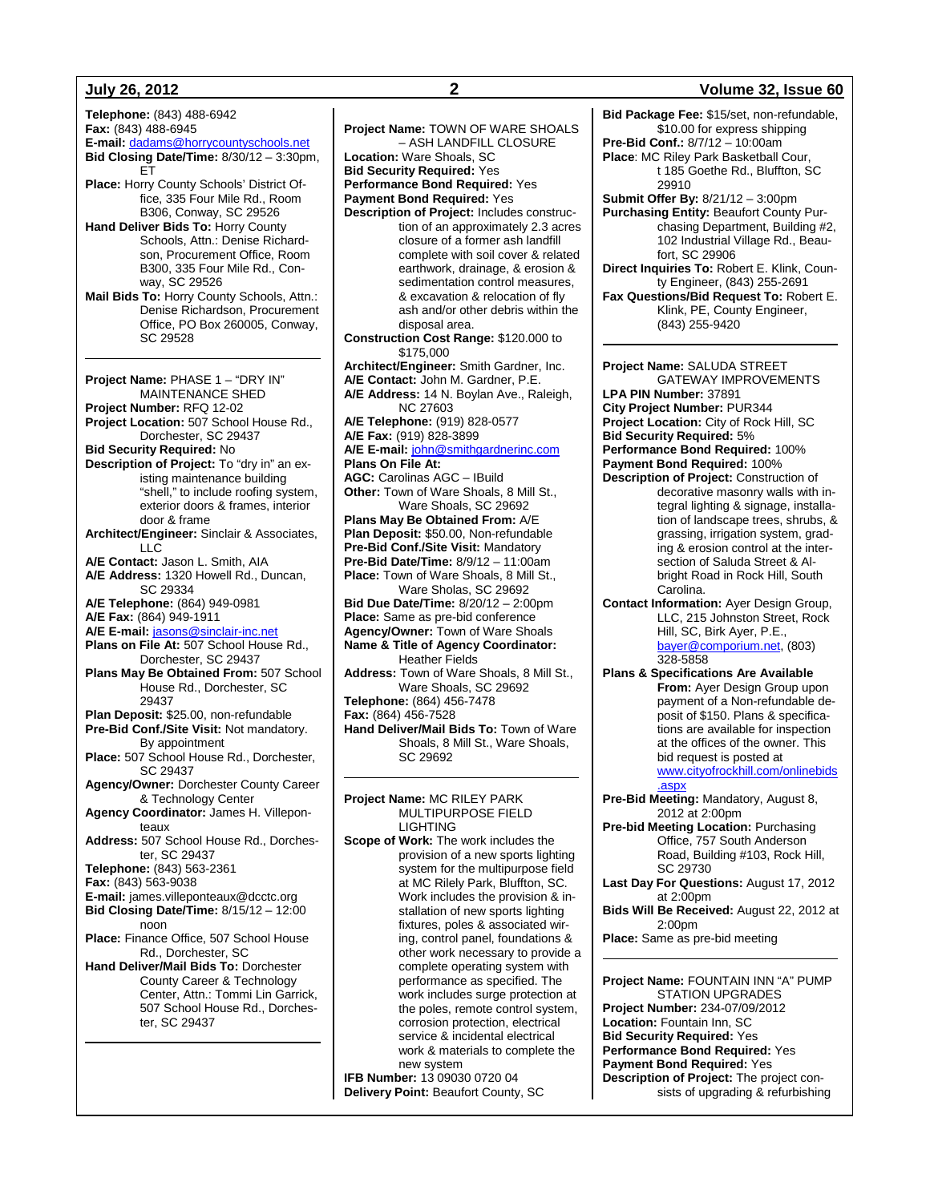**Telephone:** (843) 488-6942 **Fax:** (843) 488-6945 **E-mail:** [dadams@horrycountyschools.net](mailto:dadams@horrycountyschools.net) **Bid Closing Date/Time:** 8/30/12 – 3:30pm, ET **Place:** Horry County Schools' District Office, 335 Four Mile Rd., Room B306, Conway, SC 29526 **Hand Deliver Bids To:** Horry County Schools, Attn.: Denise Richardson, Procurement Office, Room B300, 335 Four Mile Rd., Conway, SC 29526 **Mail Bids To:** Horry County Schools, Attn.: Denise Richardson, Procurement Office, PO Box 260005, Conway, SC 29528 **Project Name:** PHASE 1 – "DRY IN" MAINTENANCE SHED **Project Number:** RFQ 12-02 **Project Location:** 507 School House Rd., Dorchester, SC 29437 **Bid Security Required:** No **Description of Project:** To "dry in" an existing maintenance building "shell," to include roofing system, exterior doors & frames, interior door & frame **Architect/Engineer:** Sinclair & Associates, LLC **A/E Contact:** Jason L. Smith, AIA **A/E Address:** 1320 Howell Rd., Duncan, SC 29334 **A/E Telephone:** (864) 949-0981 **A/E Fax:** (864) 949-1911 **A/E E-mail:** [jasons@sinclair-inc.net](mailto:jasons@sinclair-inc.net) **Plans on File At:** 507 School House Rd., Dorchester, SC 29437 **Plans May Be Obtained From:** 507 School House Rd., Dorchester, SC 29437 **Plan Deposit:** \$25.00, non-refundable **Pre-Bid Conf./Site Visit:** Not mandatory. By appointment **Place:** 507 School House Rd., Dorchester, SC 29437 **Agency/Owner:** Dorchester County Career & Technology Center **Agency Coordinator:** James H. Villeponteaux **Address:** 507 School House Rd., Dorchester, SC 29437 **Telephone:** (843) 563-2361 **Fax:** (843) 563-9038 **E-mail:** james.villeponteaux@dcctc.org **Bid Closing Date/Time:** 8/15/12 – 12:00 noon **Place:** Finance Office, 507 School House Rd., Dorchester, SC **Hand Deliver/Mail Bids To:** Dorchester County Career & Technology Center, Attn.: Tommi Lin Garrick, 507 School House Rd., Dorchester, SC 29437

complete with soil cover & related earthwork, drainage, & erosion & sedimentation control measures, & excavation & relocation of fly ash and/or other debris within the disposal area. **Construction Cost Range:** \$120.000 to \$175,000 **Architect/Engineer:** Smith Gardner, Inc. **A/E Contact:** John M. Gardner, P.E. **A/E Address:** 14 N. Boylan Ave., Raleigh, NC 27603 **A/E Telephone:** (919) 828-0577 **A/E Fax:** (919) 828-3899 **A/E E-mail:** [john@smithgardnerinc.com](mailto:john@smithgardnerinc.com) **Plans On File At: AGC:** Carolinas AGC – IBuild **Other:** Town of Ware Shoals, 8 Mill St., Ware Shoals, SC 29692 **Plans May Be Obtained From:** A/E **Plan Deposit:** \$50.00, Non-refundable **Pre-Bid Conf./Site Visit:** Mandatory **Pre-Bid Date/Time:** 8/9/12 – 11:00am **Place:** Town of Ware Shoals, 8 Mill St., Ware Sholas, SC 29692 **Bid Due Date/Time:** 8/20/12 – 2:00pm **Place:** Same as pre-bid conference **Agency/Owner:** Town of Ware Shoals **Name & Title of Agency Coordinator:** Heather Fields **Address:** Town of Ware Shoals, 8 Mill St., Ware Shoals, SC 29692 **Telephone:** (864) 456-7478 **Fax:** (864) 456-7528 **Hand Deliver/Mail Bids To:** Town of Ware Shoals, 8 Mill St., Ware Shoals, SC 29692 **Project Name:** MC RILEY PARK MULTIPURPOSE FIELD LIGHTING **Scope of Work:** The work includes the provision of a new sports lighting system for the multipurpose field at MC Rilely Park, Bluffton, SC. Work includes the provision & installation of new sports lighting fixtures, poles & associated wiring, control panel, foundations & other work necessary to provide a complete operating system with performance as specified. The work includes surge protection at the poles, remote control system, corrosion protection, electrical service & incidental electrical work & materials to complete the new system **IFB Number:** 13 09030 0720 04 **Delivery Point:** Beaufort County, SC

**Project Name:** TOWN OF WARE SHOALS – ASH LANDFILL CLOSURE

**Description of Project:** Includes construc-

tion of an approximately 2.3 acres closure of a former ash landfill

**Location:** Ware Shoals, SC **Bid Security Required:** Yes **Performance Bond Required:** Yes **Payment Bond Required:** Yes

**July 26, 2012 2 Volume 32, Issue 60 Bid Package Fee:** \$15/set, non-refundable, \$10.00 for express shipping **Pre-Bid Conf.:** 8/7/12 – 10:00am **Place**: MC Riley Park Basketball Cour, t 185 Goethe Rd., Bluffton, SC 29910 **Submit Offer By:** 8/21/12 – 3:00pm **Purchasing Entity:** Beaufort County Purchasing Department, Building #2, 102 Industrial Village Rd., Beaufort, SC 29906 **Direct Inquiries To:** Robert E. Klink, County Engineer, (843) 255-2691 **Fax Questions/Bid Request To:** Robert E. Klink, PE, County Engineer, (843) 255-9420 **Project Name:** SALUDA STREET GATEWAY IMPROVEMENTS **LPA PIN Number:** 37891 **City Project Number:** PUR344 **Project Location:** City of Rock Hill, SC **Bid Security Required:** 5% **Performance Bond Required:** 100% **Payment Bond Required:** 100% **Description of Project:** Construction of decorative masonry walls with integral lighting & signage, installation of landscape trees, shrubs, & grassing, irrigation system, grading & erosion control at the intersection of Saluda Street & Albright Road in Rock Hill, South Carolina. **Contact Information:** Ayer Design Group, LLC, 215 Johnston Street, Rock Hill, SC, Birk Ayer, P.E., [bayer@comporium.net,](mailto:bayer@comporium.net) (803) 328-5858 **Plans & Specifications Are Available From:** Ayer Design Group upon payment of a Non-refundable deposit of \$150. Plans & specifications are available for inspection at the offices of the owner. This bid request is posted at [www.cityofrockhill.com/onlinebids](http://www.cityofrockhill.com/onlinebids.aspx) [.aspx](http://www.cityofrockhill.com/onlinebids.aspx) **Pre-Bid Meeting:** Mandatory, August 8, 2012 at 2:00pm **Pre-bid Meeting Location:** Purchasing Office, 757 South Anderson Road, Building #103, Rock Hill, SC 29730 **Last Day For Questions:** August 17, 2012 at 2:00pm **Bids Will Be Received:** August 22, 2012 at 2:00pm **Place:** Same as pre-bid meeting **Project Name:** FOUNTAIN INN "A" PUMP

STATION UPGRADES **Project Number:** 234-07/09/2012 **Location:** Fountain Inn, SC **Bid Security Required:** Yes **Performance Bond Required:** Yes **Payment Bond Required:** Yes **Description of Project:** The project consists of upgrading & refurbishing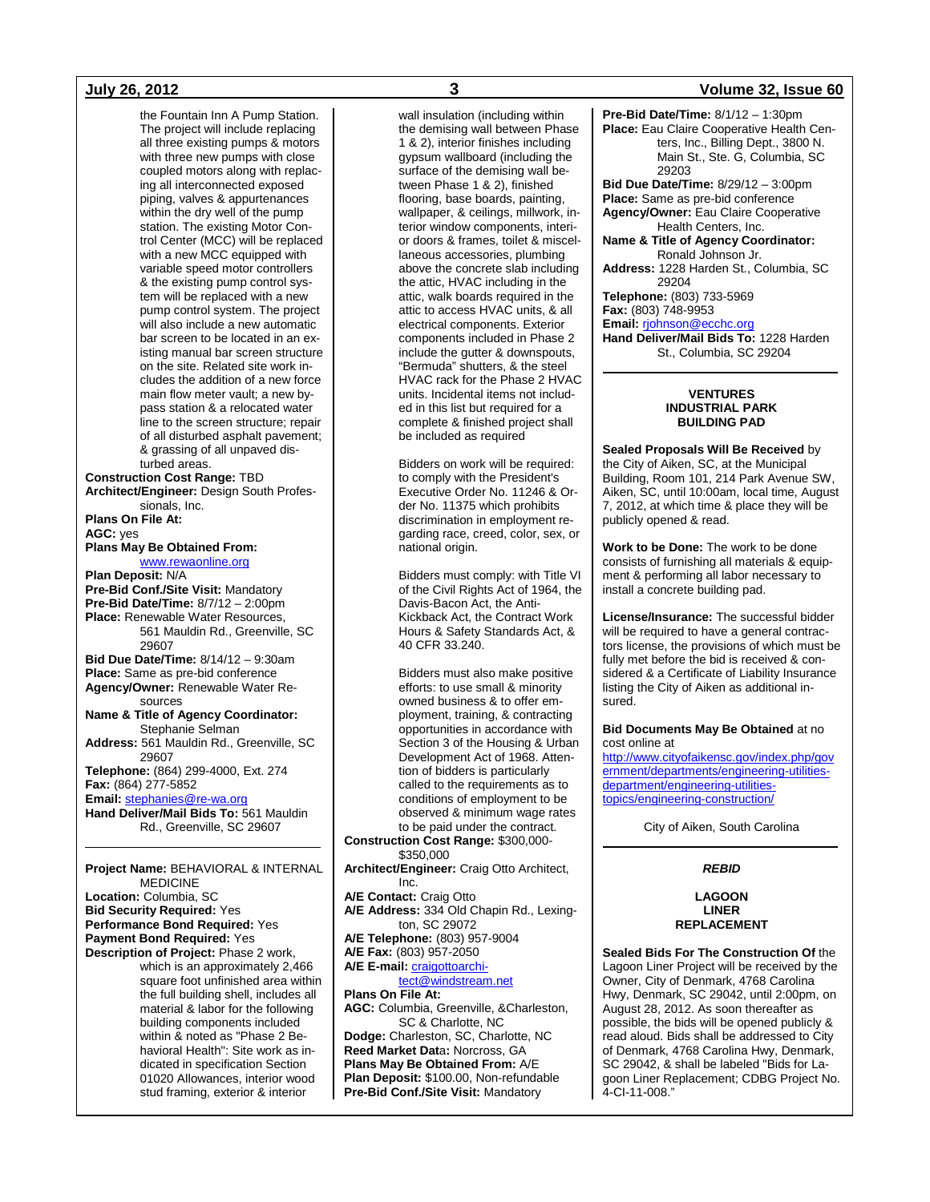the Fountain Inn A Pump Station. The project will include replacing all three existing pumps & motors with three new pumps with close coupled motors along with replacing all interconnected exposed piping, valves & appurtenances within the dry well of the pump station. The existing Motor Control Center (MCC) will be replaced with a new MCC equipped with variable speed motor controllers & the existing pump control system will be replaced with a new pump control system. The project will also include a new automatic bar screen to be located in an existing manual bar screen structure on the site. Related site work includes the addition of a new force main flow meter vault; a new bypass station & a relocated water line to the screen structure; repair of all disturbed asphalt pavement; & grassing of all unpaved disturbed areas. **Construction Cost Range:** TBD **Architect/Engineer:** Design South Professionals, Inc. **Plans On File At: AGC:** yes **Plans May Be Obtained From:** [www.rewaonline.org](http://www.rewaonline.org/) **Plan Deposit:** N/A **Pre-Bid Conf./Site Visit:** Mandatory **Pre-Bid Date/Time:** 8/7/12 – 2:00pm Place: Renewable Water Resources, 561 Mauldin Rd., Greenville, SC 29607 **Bid Due Date/Time:** 8/14/12 – 9:30am **Place:** Same as pre-bid conference **Agency/Owner:** Renewable Water Resources **Name & Title of Agency Coordinator:** Stephanie Selman **Address:** 561 Mauldin Rd., Greenville, SC 29607 **Telephone:** (864) 299-4000, Ext. 274 **Fax:** (864) 277-5852 **Email:** [stephanies@re-wa.org](mailto:stephanies@re-wa.org) **Hand Deliver/Mail Bids To:** 561 Mauldin Rd., Greenville, SC 29607

### **Project Name:** BEHAVIORAL & INTERNAL MEDICINE

**Location:** Columbia, SC **Bid Security Required:** Yes **Performance Bond Required:** Yes **Payment Bond Required:** Yes **Description of Project:** Phase 2 work, which is an approximately 2,466 square foot unfinished area within the full building shell, includes all material & labor for the following building components included within & noted as "Phase 2 Behavioral Health": Site work as indicated in specification Section 01020 Allowances, interior wood stud framing, exterior & interior

wall insulation (including within the demising wall between Phase 1 & 2), interior finishes including gypsum wallboard (including the surface of the demising wall between Phase 1 & 2), finished flooring, base boards, painting, wallpaper, & ceilings, millwork, interior window components, interior doors & frames, toilet & miscellaneous accessories, plumbing above the concrete slab including the attic, HVAC including in the attic, walk boards required in the attic to access HVAC units, & all electrical components. Exterior components included in Phase 2 include the gutter & downspouts, "Bermuda" shutters, & the steel HVAC rack for the Phase 2 HVAC units. Incidental items not included in this list but required for a complete & finished project shall be included as required

Bidders on work will be required: to comply with the President's Executive Order No. 11246 & Order No. 11375 which prohibits discrimination in employment regarding race, creed, color, sex, or national origin.

Bidders must comply: with Title VI of the Civil Rights Act of 1964, the Davis-Bacon Act, the Anti-Kickback Act, the Contract Work Hours & Safety Standards Act, & 40 CFR 33.240.

Bidders must also make positive efforts: to use small & minority owned business & to offer employment, training, & contracting opportunities in accordance with Section 3 of the Housing & Urban Development Act of 1968. Attention of bidders is particularly called to the requirements as to conditions of employment to be observed & minimum wage rates to be paid under the contract.

**Construction Cost Range:** \$300,000- \$350,000

**Architect/Engineer:** Craig Otto Architect, Inc.

**A/E Contact:** Craig Otto

**A/E Address:** 334 Old Chapin Rd., Lexington, SC 29072

**A/E Telephone:** (803) 957-9004 **A/E Fax:** (803) 957-2050

**A/E E-mail:** [craigottoarchi-](mailto:craigottoarchitect@windstream.net)

[tect@windstream.net](mailto:craigottoarchitect@windstream.net) **Plans On File At:**

**AGC:** Columbia, Greenville, &Charleston, SC & Charlotte, NC

**Dodge:** Charleston, SC, Charlotte, NC **Reed Market Dat**a**:** Norcross, GA **Plans May Be Obtained From:** A/E **Plan Deposit:** \$100.00, Non-refundable **Pre-Bid Conf./Site Visit:** Mandatory

### **July 26, 2012 3 Volume 32, Issue 60**

**Pre-Bid Date/Time:** 8/1/12 – 1:30pm **Place:** Eau Claire Cooperative Health Centers, Inc., Billing Dept., 3800 N. Main St., Ste. G, Columbia, SC 29203 **Bid Due Date/Time:** 8/29/12 – 3:00pm

**Place:** Same as pre-bid conference **Agency/Owner:** Eau Claire Cooperative Health Centers, Inc.

**Name & Title of Agency Coordinator:** Ronald Johnson Jr.

**Address:** 1228 Harden St., Columbia, SC 29204

**Telephone:** (803) 733-5969 **Fax:** (803) 748-9953

**Email:** [rjohnson@ecchc.org](mailto:rjohnson@ecchc.org)

**Hand Deliver/Mail Bids To:** 1228 Harden St., Columbia, SC 29204

#### **VENTURES INDUSTRIAL PARK BUILDING PAD**

**Sealed Proposals Will Be Received** by the City of Aiken, SC, at the Municipal Building, Room 101, 214 Park Avenue SW, Aiken, SC, until 10:00am, local time, August 7, 2012, at which time & place they will be publicly opened & read.

**Work to be Done:** The work to be done consists of furnishing all materials & equipment & performing all labor necessary to install a concrete building pad.

**License/Insurance:** The successful bidder will be required to have a general contractors license, the provisions of which must be fully met before the bid is received & considered & a Certificate of Liability Insurance listing the City of Aiken as additional insured.

#### **Bid Documents May Be Obtained** at no cost online at

[http://www.cityofaikensc.gov/index.php/gov](http://www.cityofaikensc.gov/index.php/government/departments/engineering-utilities-department/engineering-utilities-topics/engineering-construction/) [ernment/departments/engineering-utilities](http://www.cityofaikensc.gov/index.php/government/departments/engineering-utilities-department/engineering-utilities-topics/engineering-construction/)[department/engineering-utilities](http://www.cityofaikensc.gov/index.php/government/departments/engineering-utilities-department/engineering-utilities-topics/engineering-construction/)[topics/engineering-construction/](http://www.cityofaikensc.gov/index.php/government/departments/engineering-utilities-department/engineering-utilities-topics/engineering-construction/)

City of Aiken, South Carolina

### *REBID*

**LAGOON LINER REPLACEMENT**

**Sealed Bids For The Construction Of** the Lagoon Liner Project will be received by the Owner, City of Denmark, 4768 Carolina Hwy, Denmark, SC 29042, until 2:00pm, on August 28, 2012. As soon thereafter as possible, the bids will be opened publicly & read aloud. Bids shall be addressed to City of Denmark, 4768 Carolina Hwy, Denmark, SC 29042, & shall be labeled "Bids for Lagoon Liner Replacement; CDBG Project No. 4-CI-11-008."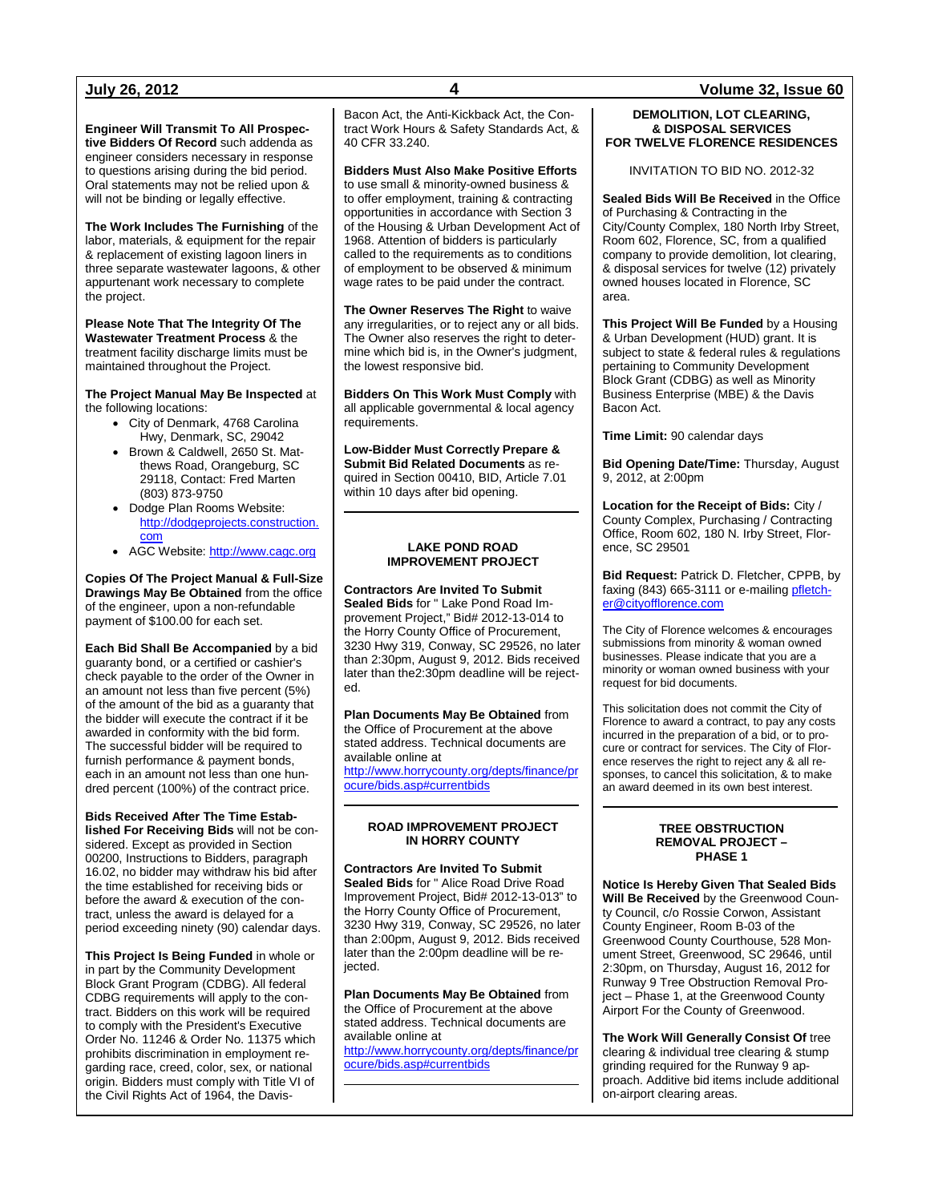**Engineer Will Transmit To All Prospective Bidders Of Record** such addenda as engineer considers necessary in response to questions arising during the bid period. Oral statements may not be relied upon & will not be binding or legally effective.

**The Work Includes The Furnishing** of the labor, materials, & equipment for the repair & replacement of existing lagoon liners in three separate wastewater lagoons, & other appurtenant work necessary to complete the project.

**Please Note That The Integrity Of The Wastewater Treatment Process** & the treatment facility discharge limits must be maintained throughout the Project.

**The Project Manual May Be Inspected** at the following locations:

- City of Denmark, 4768 Carolina Hwy, Denmark, SC, 29042
- Brown & Caldwell, 2650 St. Matthews Road, Orangeburg, SC 29118, Contact: Fred Marten (803) 873-9750
- Dodge Plan Rooms Website: [http://dodgeprojects.construction.](http://dodgeprojects.construction.com/) [com](http://dodgeprojects.construction.com/)
- AGC Website: [http://www.cagc.org](http://www.cagc.org/)

**Copies Of The Project Manual & Full-Size Drawings May Be Obtained** from the office of the engineer, upon a non-refundable payment of \$100.00 for each set.

**Each Bid Shall Be Accompanied** by a bid guaranty bond, or a certified or cashier's check payable to the order of the Owner in an amount not less than five percent (5%) of the amount of the bid as a guaranty that the bidder will execute the contract if it be awarded in conformity with the bid form. The successful bidder will be required to furnish performance & payment bonds, each in an amount not less than one hundred percent (100%) of the contract price.

**Bids Received After The Time Established For Receiving Bids** will not be considered. Except as provided in Section 00200, Instructions to Bidders, paragraph 16.02, no bidder may withdraw his bid after the time established for receiving bids or before the award & execution of the contract, unless the award is delayed for a period exceeding ninety (90) calendar days.

**This Project Is Being Funded** in whole or in part by the Community Development Block Grant Program (CDBG). All federal CDBG requirements will apply to the contract. Bidders on this work will be required to comply with the President's Executive Order No. 11246 & Order No. 11375 which prohibits discrimination in employment regarding race, creed, color, sex, or national origin. Bidders must comply with Title VI of the Civil Rights Act of 1964, the DavisBacon Act, the Anti-Kickback Act, the Contract Work Hours & Safety Standards Act, & 40 CFR 33.240.

#### **Bidders Must Also Make Positive Efforts**

to use small & minority-owned business & to offer employment, training & contracting opportunities in accordance with Section 3 of the Housing & Urban Development Act of 1968. Attention of bidders is particularly called to the requirements as to conditions of employment to be observed & minimum wage rates to be paid under the contract.

**The Owner Reserves The Right** to waive any irregularities, or to reject any or all bids. The Owner also reserves the right to determine which bid is, in the Owner's judgment, the lowest responsive bid.

**Bidders On This Work Must Comply** with all applicable governmental & local agency requirements.

**Low-Bidder Must Correctly Prepare & Submit Bid Related Documents** as required in Section 00410, BID, Article 7.01 within 10 days after bid opening.

#### **LAKE POND ROAD IMPROVEMENT PROJECT**

**Contractors Are Invited To Submit Sealed Bids** for " Lake Pond Road Improvement Project," Bid# 2012-13-014 to the Horry County Office of Procurement, 3230 Hwy 319, Conway, SC 29526, no later than 2:30pm, August 9, 2012. Bids received later than the2:30pm deadline will be rejected.

**Plan Documents May Be Obtained** from the Office of Procurement at the above stated address. Technical documents are available online at [http://www.horrycounty.org/depts/finance/pr](http://www.horrycounty.org/depts/finance/procure/bids.asp#currentbids) [ocure/bids.asp#currentbids](http://www.horrycounty.org/depts/finance/procure/bids.asp#currentbids)

### **ROAD IMPROVEMENT PROJECT IN HORRY COUNTY**

**Contractors Are Invited To Submit Sealed Bids** for " Alice Road Drive Road Improvement Project, Bid# 2012-13-013" to the Horry County Office of Procurement, 3230 Hwy 319, Conway, SC 29526, no later than 2:00pm, August 9, 2012. Bids received later than the 2:00pm deadline will be rejected.

**Plan Documents May Be Obtained** from the Office of Procurement at the above stated address. Technical documents are available online at [http://www.horrycounty.org/depts/finance/pr](http://www.horrycounty.org/depts/finance/procure/bids.asp#currentbids) [ocure/bids.asp#currentbids](http://www.horrycounty.org/depts/finance/procure/bids.asp#currentbids)

#### **July 26, 2012 4 Volume 32, Issue 60**

#### **DEMOLITION, LOT CLEARING, & DISPOSAL SERVICES FOR TWELVE FLORENCE RESIDENCES**

INVITATION TO BID NO. 2012-32

**Sealed Bids Will Be Received** in the Office of Purchasing & Contracting in the City/County Complex, 180 North Irby Street, Room 602, Florence, SC, from a qualified company to provide demolition, lot clearing, & disposal services for twelve (12) privately owned houses located in Florence, SC area.

**This Project Will Be Funded** by a Housing & Urban Development (HUD) grant. It is subject to state & federal rules & regulations pertaining to Community Development Block Grant (CDBG) as well as Minority Business Enterprise (MBE) & the Davis Bacon Act.

**Time Limit:** 90 calendar days

**Bid Opening Date/Time:** Thursday, August 9, 2012, at 2:00pm

**Location for the Receipt of Bids:** City / County Complex, Purchasing / Contracting Office, Room 602, 180 N. Irby Street, Florence, SC 29501

**Bid Request:** Patrick D. Fletcher, CPPB, by faxing (843) 665-3111 or e-mailing [pfletch](mailto:pfletcher@cityofflorence.com)[er@cityofflorence.com](mailto:pfletcher@cityofflorence.com)

The City of Florence welcomes & encourages submissions from minority & woman owned businesses. Please indicate that you are a minority or woman owned business with your request for bid documents.

This solicitation does not commit the City of Florence to award a contract, to pay any costs incurred in the preparation of a bid, or to procure or contract for services. The City of Florence reserves the right to reject any & all responses, to cancel this solicitation, & to make an award deemed in its own best interest.

#### **TREE OBSTRUCTION REMOVAL PROJECT – PHASE 1**

**Notice Is Hereby Given That Sealed Bids Will Be Received** by the Greenwood County Council, c/o Rossie Corwon, Assistant County Engineer, Room B-03 of the Greenwood County Courthouse, 528 Monument Street, Greenwood, SC 29646, until 2:30pm, on Thursday, August 16, 2012 for Runway 9 Tree Obstruction Removal Project – Phase 1, at the Greenwood County Airport For the County of Greenwood.

**The Work Will Generally Consist Of** tree clearing & individual tree clearing & stump grinding required for the Runway 9 approach. Additive bid items include additional on-airport clearing areas.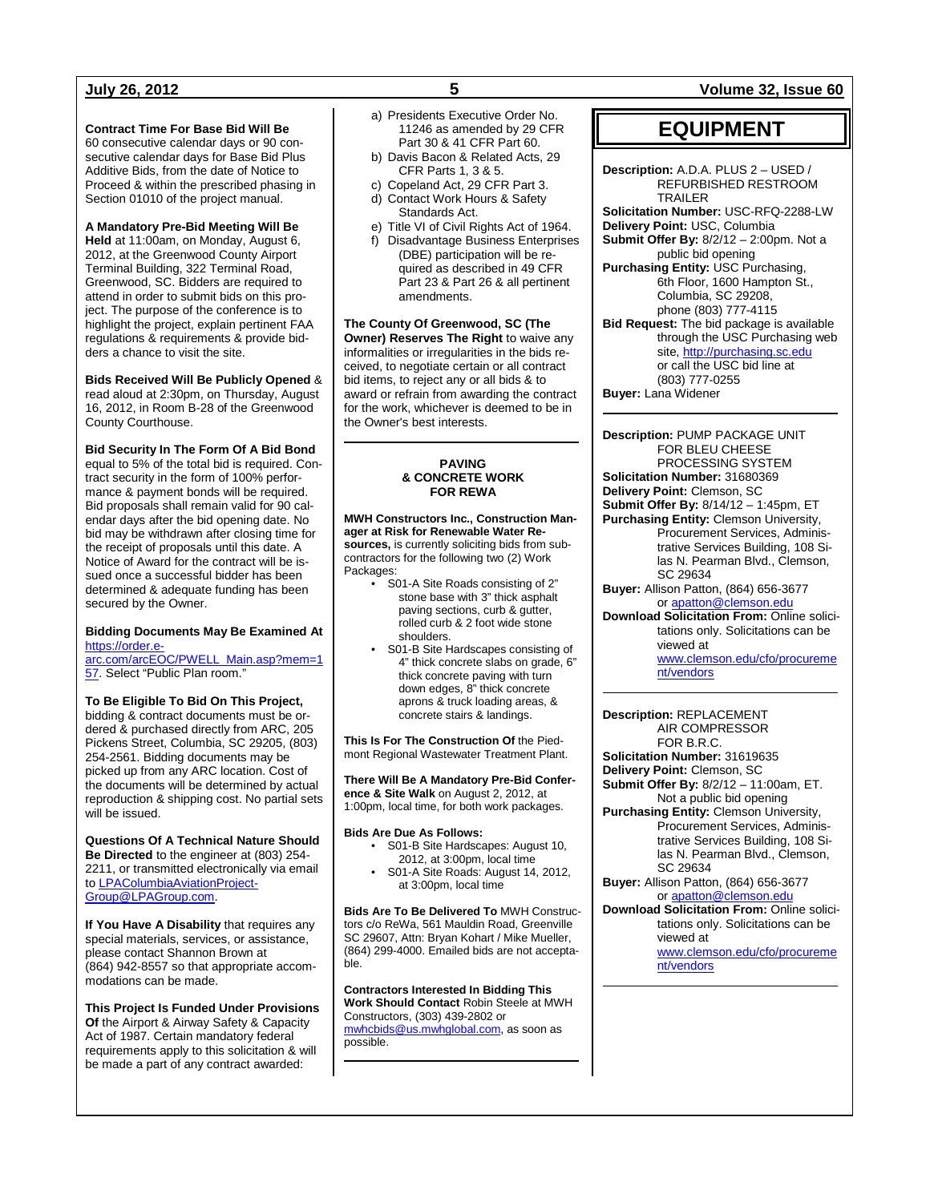#### **Contract Time For Base Bid Will Be**

60 consecutive calendar days or 90 consecutive calendar days for Base Bid Plus Additive Bids, from the date of Notice to Proceed & within the prescribed phasing in Section 01010 of the project manual.

**A Mandatory Pre-Bid Meeting Will Be Held** at 11:00am, on Monday, August 6, 2012, at the Greenwood County Airport Terminal Building, 322 Terminal Road, Greenwood, SC. Bidders are required to attend in order to submit bids on this project. The purpose of the conference is to highlight the project, explain pertinent FAA regulations & requirements & provide bidders a chance to visit the site.

**Bids Received Will Be Publicly Opened** & read aloud at 2:30pm, on Thursday, August 16, 2012, in Room B-28 of the Greenwood County Courthouse.

**Bid Security In The Form Of A Bid Bond** equal to 5% of the total bid is required. Contract security in the form of 100% performance & payment bonds will be required. Bid proposals shall remain valid for 90 calendar days after the bid opening date. No bid may be withdrawn after closing time for the receipt of proposals until this date. A Notice of Award for the contract will be issued once a successful bidder has been determined & adequate funding has been secured by the Owner.

#### **Bidding Documents May Be Examined At**  [https://order.e-](https://order.e-arc.com/arcEOC/PWELL_Main.asp?mem=157)

[arc.com/arcEOC/PWELL\\_Main.asp?mem=1](https://order.e-arc.com/arcEOC/PWELL_Main.asp?mem=157) [57.](https://order.e-arc.com/arcEOC/PWELL_Main.asp?mem=157) Select "Public Plan room."

### **To Be Eligible To Bid On This Project,**

bidding & contract documents must be ordered & purchased directly from ARC, 205 Pickens Street, Columbia, SC 29205, (803) 254-2561. Bidding documents may be picked up from any ARC location. Cost of the documents will be determined by actual reproduction & shipping cost. No partial sets will be issued.

**Questions Of A Technical Nature Should Be Directed** to the engineer at (803) 254- 2211, or transmitted electronically via email to [LPAColumbiaAviationProject-](mailto:LPAColumbiaAviationProjectGroup@LPAGroup.com)[Group@LPAGroup.com.](mailto:LPAColumbiaAviationProjectGroup@LPAGroup.com)

**If You Have A Disability** that requires any special materials, services, or assistance, please contact Shannon Brown at (864) 942-8557 so that appropriate accommodations can be made.

**This Project Is Funded Under Provisions Of** the Airport & Airway Safety & Capacity Act of 1987. Certain mandatory federal requirements apply to this solicitation & will be made a part of any contract awarded:

- a) Presidents Executive Order No. 11246 as amended by 29 CFR Part 30 & 41 CFR Part 60.
- b) Davis Bacon & Related Acts, 29 CFR Parts 1, 3 & 5.
- c) Copeland Act, 29 CFR Part 3. d) Contact Work Hours & Safety
- Standards Act.
- e) Title VI of Civil Rights Act of 1964. f) Disadvantage Business Enterprises
- (DBE) participation will be required as described in 49 CFR Part 23 & Part 26 & all pertinent amendments.

**The County Of Greenwood, SC (The Owner) Reserves The Right** to waive any informalities or irregularities in the bids received, to negotiate certain or all contract bid items, to reject any or all bids & to award or refrain from awarding the contract for the work, whichever is deemed to be in the Owner's best interests.

#### **PAVING & CONCRETE WORK FOR REWA**

**MWH Constructors Inc., Construction Manager at Risk for Renewable Water Resources,** is currently soliciting bids from subcontractors for the following two (2) Work Packages:

- S01-A Site Roads consisting of 2" stone base with 3" thick asphalt paving sections, curb & gutter, rolled curb & 2 foot wide stone shoulders.
- S01-B Site Hardscapes consisting of 4" thick concrete slabs on grade, 6" thick concrete paving with turn down edges, 8" thick concrete aprons & truck loading areas, & concrete stairs & landings.

**This Is For The Construction Of** the Piedmont Regional Wastewater Treatment Plant.

**There Will Be A Mandatory Pre-Bid Conference & Site Walk** on August 2, 2012, at 1:00pm, local time, for both work packages.

**Bids Are Due As Follows:**

- S01-B Site Hardscapes: August 10, 2012, at 3:00pm, local time
- S01-A Site Roads: August 14, 2012, at 3:00pm, local time

**Bids Are To Be Delivered To** MWH Constructors c/o ReWa, 561 Mauldin Road, Greenville SC 29607, Attn: Bryan Kohart / Mike Mueller, (864) 299-4000. Emailed bids are not acceptable.

**Contractors Interested In Bidding This Work Should Contact** Robin Steele at MWH Constructors, (303) 439-2802 or [mwhcbids@us.mwhglobal.com,](mailto:mwhcbids@us.mwhglobal.com) as soon as possible.

### **July 26, 2012 5 Volume 32, Issue 60**

## **EQUIPMENT**

**Description:** A.D.A. PLUS 2 – USED / REFURBISHED RESTROOM TRAILER **Solicitation Number:** USC-RFQ-2288-LW **Delivery Point:** USC, Columbia **Submit Offer By:** 8/2/12 – 2:00pm. Not a public bid opening **Purchasing Entity:** USC Purchasing, 6th Floor, 1600 Hampton St., Columbia, SC 29208, phone (803) 777-4115 **Bid Request:** The bid package is available through the USC Purchasing web site[, http://purchasing.sc.edu](http://purchasing.sc.edu/) or call the USC bid line at (803) 777-0255

**Buyer:** Lana Widener

**Description:** PUMP PACKAGE UNIT FOR BLEU CHEESE PROCESSING SYSTEM **Solicitation Number:** 31680369 **Delivery Point:** Clemson, SC **Submit Offer By:** 8/14/12 – 1:45pm, ET **Purchasing Entity:** Clemson University, Procurement Services, Administrative Services Building, 108 Silas N. Pearman Blvd., Clemson, SC 29634

- **Buyer:** Allison Patton, (864) 656-3677 or [apatton@clemson.edu](mailto:apatton@clemson.edu)
- **Download Solicitation From:** Online solicitations only. Solicitations can be viewed at [www.clemson.edu/cfo/procureme](http://www.clemson.edu/cfo/procurement/vendors)

[nt/vendors](http://www.clemson.edu/cfo/procurement/vendors)

**Description:** REPLACEMENT AIR COMPRESSOR FOR B.R.C.

**Solicitation Number:** 31619635

**Delivery Point:** Clemson, SC **Submit Offer By:** 8/2/12 – 11:00am, ET.

Not a public bid opening **Purchasing Entity:** Clemson University, Procurement Services, Administrative Services Building, 108 Silas N. Pearman Blvd., Clemson, SC 29634

**Buyer:** Allison Patton, (864) 656-3677 or [apatton@clemson.edu](mailto:apatton@clemson.edu)

**Download Solicitation From:** Online solicitations only. Solicitations can be viewed at [www.clemson.edu/cfo/procureme](http://www.clemson.edu/cfo/procurement/vendors) [nt/vendors](http://www.clemson.edu/cfo/procurement/vendors)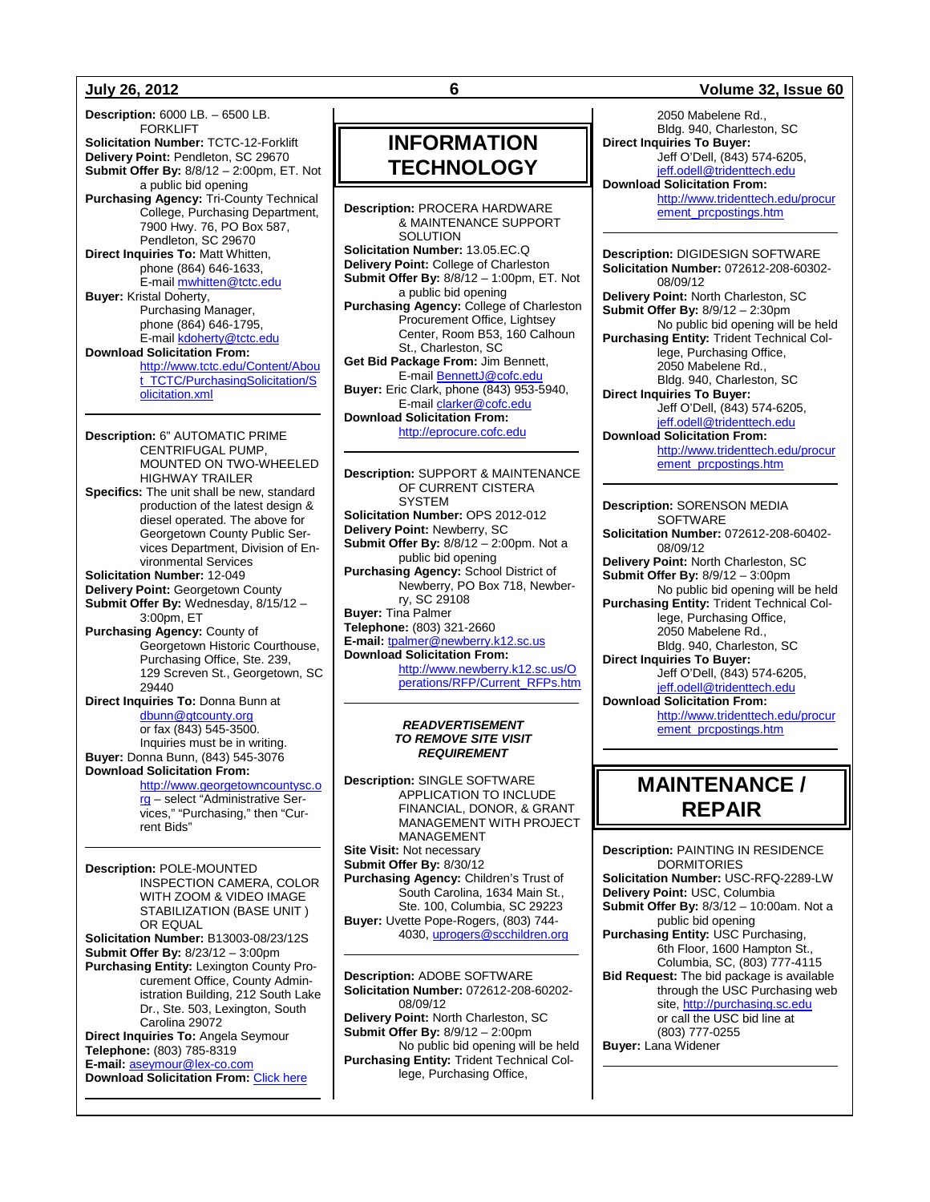**Description:** 6000 LB. – 6500 LB. FORKLIFT **Solicitation Number:** TCTC-12-Forklift **Delivery Point:** Pendleton, SC 29670 **Submit Offer By:** 8/8/12 – 2:00pm, ET. Not a public bid opening **Purchasing Agency:** Tri-County Technical College, Purchasing Department, 7900 Hwy. 76, PO Box 587, Pendleton, SC 29670 **Direct Inquiries To: Matt Whitten,** phone (864) 646-1633, E-mail [mwhitten@tctc.edu](mailto:mwhitten@tctc.edu) **Buyer:** Kristal Doherty, Purchasing Manager, phone (864) 646-1795, E-mail [kdoherty@tctc.edu](mailto:kdoherty@tctc.edu) **Download Solicitation From:** [http://www.tctc.edu/Content/Abou](http://www.tctc.edu/Content/About_TCTC/PurchasingSolicitation/Solicitation.xml) [t\\_TCTC/PurchasingSolicitation/S](http://www.tctc.edu/Content/About_TCTC/PurchasingSolicitation/Solicitation.xml) [olicitation.xml](http://www.tctc.edu/Content/About_TCTC/PurchasingSolicitation/Solicitation.xml)

**Description:** 6" AUTOMATIC PRIME CENTRIFUGAL PUMP, MOUNTED ON TWO-WHEELED HIGHWAY TRAILER **Specifics:** The unit shall be new, standard production of the latest design & diesel operated. The above for Georgetown County Public Services Department, Division of Environmental Services **Solicitation Number:** 12-049 **Delivery Point:** Georgetown County **Submit Offer By:** Wednesday, 8/15/12 – 3:00pm, ET **Purchasing Agency:** County of Georgetown Historic Courthouse, Purchasing Office, Ste. 239, 129 Screven St., Georgetown, SC 29440 **Direct Inquiries To:** Donna Bunn at [dbunn@gtcounty.org](mailto:dbunn@gtcounty.org) or fax (843) 545-3500. Inquiries must be in writing. **Buyer:** Donna Bunn, (843) 545-3076 **Download Solicitation From:**

> [http://www.georgetowncountysc.o](http://www.georgetowncountysc.org/) [rg](http://www.georgetowncountysc.org/) – select "Administrative Services," "Purchasing," then "Current Bids"

**Description:** POLE-MOUNTED INSPECTION CAMERA, COLOR WITH ZOOM & VIDEO IMAGE STABILIZATION (BASE UNIT ) OR EQUAL **Solicitation Number:** B13003-08/23/12S **Submit Offer By:** 8/23/12 – 3:00pm **Purchasing Entity:** Lexington County Procurement Office, County Administration Building, 212 South Lake Dr., Ste. 503, Lexington, South Carolina 29072 **Direct Inquiries To:** Angela Seymour **Telephone:** (803) 785-8319 **E-mail:** [aseymour@lex-co.com](mailto:aseymour@lex-co.com) **Download Solicitation From: [Click here](http://www.lex-co.sc.gov/departments/DeptIQ/procurement/Pages/BidOpportunities.aspx)** 

# **INFORMATION TECHNOLOGY**

**Description:** PROCERA HARDWARE & MAINTENANCE SUPPORT **SOLUTION Solicitation Number:** 13.05.EC.Q **Delivery Point:** College of Charleston **Submit Offer By:** 8/8/12 – 1:00pm, ET. Not a public bid opening **Purchasing Agency:** College of Charleston Procurement Office, Lightsey Center, Room B53, 160 Calhoun St., Charleston, SC **Get Bid Package From:** Jim Bennett, E-mai[l BennettJ@cofc.edu](mailto:BennettJ@cofc.edu) **Buyer:** Eric Clark, phone (843) 953-5940, E-mai[l clarker@cofc.edu](mailto:clarker@cofc.edu) **Download Solicitation From:**  [http://eprocure.cofc.edu](http://eprocure.cofc.edu/)

**Description:** SUPPORT & MAINTENANCE OF CURRENT CISTERA SYSTEM **Solicitation Number:** OPS 2012-012 **Delivery Point:** Newberry, SC **Submit Offer By:** 8/8/12 – 2:00pm. Not a public bid opening **Purchasing Agency:** School District of Newberry, PO Box 718, Newberry, SC 29108 **Buyer:** Tina Palmer **Telephone:** (803) 321-2660 **E-mail:** [tpalmer@newberry.k12.sc.us](mailto:tpalmer@newberry.k12.sc.us) **Download Solicitation From:** [http://www.newberry.k12.sc.us/O](http://www.newberry.k12.sc.us/Operations/RFP/Current_RFPs.htm) [perations/RFP/Current\\_RFPs.htm](http://www.newberry.k12.sc.us/Operations/RFP/Current_RFPs.htm)

#### *READVERTISEMENT TO REMOVE SITE VISIT REQUIREMENT*

**Description:** SINGLE SOFTWARE APPLICATION TO INCLUDE FINANCIAL, DONOR, & GRANT MANAGEMENT WITH PROJECT MANAGEMENT **Site Visit:** Not necessary **Submit Offer By:** 8/30/12 **Purchasing Agency:** Children's Trust of South Carolina, 1634 Main St., Ste. 100, Columbia, SC 29223 **Buyer:** Uvette Pope-Rogers, (803) 744- 4030[, uprogers@scchildren.org](mailto:uprogers@scchildren.org)

**Description:** ADOBE SOFTWARE **Solicitation Number:** 072612-208-60202- 08/09/12 **Delivery Point:** North Charleston, SC **Submit Offer By:** 8/9/12 – 2:00pm No public bid opening will be held **Purchasing Entity:** Trident Technical College, Purchasing Office,

**July 26, 2012 6 Volume 32, Issue 60**

2050 Mabelene Rd., Bldg. 940, Charleston, SC **Direct Inquiries To Buyer:** Jeff O'Dell, (843) 574-6205, [jeff.odell@tridenttech.edu](mailto:jeff.odell@tridenttech.edu) **Download Solicitation From:** [http://www.tridenttech.edu/procur](http://www.tridenttech.edu/procurement_prcpostings.htm) [ement\\_prcpostings.htm](http://www.tridenttech.edu/procurement_prcpostings.htm)

**Description:** DIGIDESIGN SOFTWARE **Solicitation Number:** 072612-208-60302- 08/09/12 **Delivery Point:** North Charleston, SC **Submit Offer By:** 8/9/12 – 2:30pm No public bid opening will be held **Purchasing Entity:** Trident Technical College, Purchasing Office, 2050 Mabelene Rd., Bldg. 940, Charleston, SC **Direct Inquiries To Buyer:** Jeff O'Dell, (843) 574-6205, ieff.odell@tridenttech.edu **Download Solicitation From:** [http://www.tridenttech.edu/procur](http://www.tridenttech.edu/procurement_prcpostings.htm) [ement\\_prcpostings.htm](http://www.tridenttech.edu/procurement_prcpostings.htm)

**Description:** SORENSON MEDIA SOFTWARE **Solicitation Number:** 072612-208-60402- 08/09/12 **Delivery Point:** North Charleston, SC **Submit Offer By:** 8/9/12 – 3:00pm No public bid opening will be held **Purchasing Entity:** Trident Technical College, Purchasing Office, 2050 Mabelene Rd., Bldg. 940, Charleston, SC **Direct Inquiries To Buyer:** Jeff O'Dell, (843) 574-6205, [jeff.odell@tridenttech.edu](mailto:jeff.odell@tridenttech.edu) **Download Solicitation From:** [http://www.tridenttech.edu/procur](http://www.tridenttech.edu/procurement_prcpostings.htm)

[ement\\_prcpostings.htm](http://www.tridenttech.edu/procurement_prcpostings.htm)

# **MAINTENANCE / REPAIR**

**Description:** PAINTING IN RESIDENCE DORMITORIES **Solicitation Number:** USC-RFQ-2289-LW **Delivery Point:** USC, Columbia **Submit Offer By:** 8/3/12 – 10:00am. Not a public bid opening **Purchasing Entity:** USC Purchasing, 6th Floor, 1600 Hampton St., Columbia, SC, (803) 777-4115 **Bid Request:** The bid package is available through the USC Purchasing web site[, http://purchasing.sc.edu](http://purchasing.sc.edu/) or call the USC bid line at (803) 777-0255 **Buyer:** Lana Widener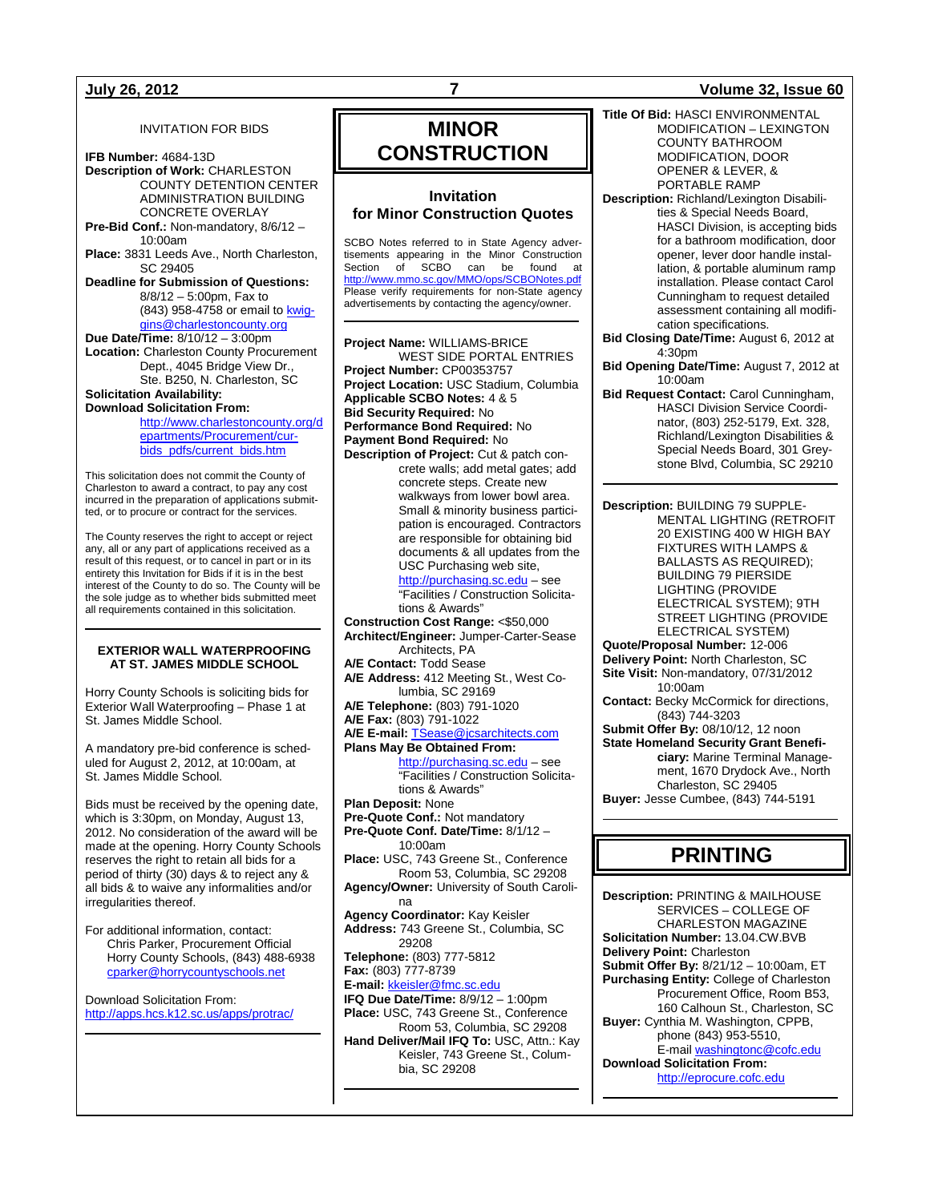### INVITATION FOR BIDS

**IFB Number:** 4684-13D **Description of Work:** CHARLESTON COUNTY DETENTION CENTER ADMINISTRATION BUILDING CONCRETE OVERLAY **Pre-Bid Conf.:** Non-mandatory, 8/6/12 – 10:00am **Place:** 3831 Leeds Ave., North Charleston, SC 29405 **Deadline for Submission of Questions:** 8/8/12 – 5:00pm, Fax to (843) 958-4758 or email t[o kwig](mailto:kwiggins@charlestoncounty.org)[gins@charlestoncounty.org](mailto:kwiggins@charlestoncounty.org) **Due Date/Time:** 8/10/12 – 3:00pm **Location:** Charleston County Procurement Dept., 4045 Bridge View Dr.,

Ste. B250, N. Charleston, SC **Solicitation Availability: Download Solicitation From:**

[http://www.charlestoncounty.org/d](http://www.charlestoncounty.org/departments/Procurement/cur-bids_pdfs/current_bids.htm) [epartments/Procurement/cur](http://www.charlestoncounty.org/departments/Procurement/cur-bids_pdfs/current_bids.htm)[bids\\_pdfs/current\\_bids.htm](http://www.charlestoncounty.org/departments/Procurement/cur-bids_pdfs/current_bids.htm)

This solicitation does not commit the County of Charleston to award a contract, to pay any cost incurred in the preparation of applications submitted, or to procure or contract for the services.

The County reserves the right to accept or reject any, all or any part of applications received as a result of this request, or to cancel in part or in its entirety this Invitation for Bids if it is in the best interest of the County to do so. The County will be the sole judge as to whether bids submitted meet all requirements contained in this solicitation.

#### **EXTERIOR WALL WATERPROOFING AT ST. JAMES MIDDLE SCHOOL**

Horry County Schools is soliciting bids for Exterior Wall Waterproofing – Phase 1 at St. James Middle School.

A mandatory pre-bid conference is scheduled for August 2, 2012, at 10:00am, at St. James Middle School.

Bids must be received by the opening date, which is 3:30pm, on Monday, August 13, 2012. No consideration of the award will be made at the opening. Horry County Schools reserves the right to retain all bids for a period of thirty (30) days & to reject any & all bids & to waive any informalities and/or irregularities thereof.

For additional information, contact: Chris Parker, Procurement Official Horry County Schools, (843) 488-6938 [cparker@horrycountyschools.net](mailto:cparker@horrycountyschools.net)

Download Solicitation From: <http://apps.hcs.k12.sc.us/apps/protrac/>

# **MINOR CONSTRUCTION**

### **Invitation for Minor Construction Quotes**

SCBO Notes referred to in State Agency advertisements appearing in the Minor Construction<br>Section of SCBO can be found at SCBO can be found at http://www.mmo.sc.gov/MMO/ops/SCBON Please verify requirements for non-State agency advertisements by contacting the agency/owner.

**Project Name:** WILLIAMS-BRICE WEST SIDE PORTAL ENTRIES **Project Number:** CP00353757 **Project Location:** USC Stadium, Columbia **Applicable SCBO Notes:** 4 & 5 **Bid Security Required:** No **Performance Bond Required:** No **Payment Bond Required:** No **Description of Project:** Cut & patch concrete walls; add metal gates; add concrete steps. Create new walkways from lower bowl area. Small & minority business participation is encouraged. Contractors are responsible for obtaining bid documents & all updates from the USC Purchasing web site, [http://purchasing.sc.edu](http://purchasing.sc.edu/) – see "Facilities / Construction Solicitations & Awards" **Construction Cost Range:** <\$50,000 **Architect/Engineer:** Jumper-Carter-Sease Architects, PA **A/E Contact:** Todd Sease **A/E Address:** 412 Meeting St., West Columbia, SC 29169 **A/E Telephone:** (803) 791-1020 **A/E Fax:** (803) 791-1022 **A/E E-mail:** [TSease@jcsarchitects.com](mailto:TSease@jcsarchitects.com) **Plans May Be Obtained From:** [http://purchasing.sc.edu](http://purchasing.sc.edu/) – see "Facilities / Construction Solicitations & Awards" **Plan Deposit:** None **Pre-Quote Conf.:** Not mandatory **Pre-Quote Conf. Date/Time:** 8/1/12 – 10:00am **Place:** USC, 743 Greene St., Conference Room 53, Columbia, SC 29208 **Agency/Owner:** University of South Carolina **Agency Coordinator:** Kay Keisler **Address:** 743 Greene St., Columbia, SC 29208 **Telephone:** (803) 777-5812 **Fax:** (803) 777-8739 **E-mail:** [kkeisler@fmc.sc.edu](mailto:kkeisler@fmc.sc.edu) **IFQ Due Date/Time:** 8/9/12 – 1:00pm **Place:** USC, 743 Greene St., Conference Room 53, Columbia, SC 29208 **Hand Deliver/Mail IFQ To:** USC, Attn.: Kay Keisler, 743 Greene St., Columbia, SC 29208

**July 26, 2012 7 Volume 32, Issue 60 Title Of Bid:** HASCI ENVIRONMENTAL MODIFICATION – LEXINGTON COUNTY BATHROOM MODIFICATION, DOOR OPENER & LEVER, & PORTABLE RAMP **Description:** Richland/Lexington Disabilities & Special Needs Board, HASCI Division, is accepting bids for a bathroom modification, door opener, lever door handle installation, & portable aluminum ramp installation. Please contact Carol Cunningham to request detailed assessment containing all modification specifications. **Bid Closing Date/Time:** August 6, 2012 at 4:30pm **Bid Opening Date/Time:** August 7, 2012 at 10:00am **Bid Request Contact:** Carol Cunningham, HASCI Division Service Coordinator, (803) 252-5179, Ext. 328, Richland/Lexington Disabilities & Special Needs Board, 301 Greystone Blvd, Columbia, SC 29210 **Description:** BUILDING 79 SUPPLE-MENTAL LIGHTING (RETROFIT 20 EXISTING 400 W HIGH BAY FIXTURES WITH LAMPS & BALLASTS AS REQUIRED); BUILDING 79 PIERSIDE LIGHTING (PROVIDE ELECTRICAL SYSTEM); 9TH STREET LIGHTING (PROVIDE ELECTRICAL SYSTEM) **Quote/Proposal Number:** 12-006 **Delivery Point:** North Charleston, SC **Site Visit:** Non-mandatory, 07/31/2012 10:00am **Contact:** Becky McCormick for directions, (843) 744-3203 **Submit Offer By:** 08/10/12, 12 noon **State Homeland Security Grant Beneficiary:** Marine Terminal Management, 1670 Drydock Ave., North Charleston, SC 29405 **Buyer:** Jesse Cumbee, (843) 744-5191 **PRINTING**

> **Description:** PRINTING & MAILHOUSE SERVICES – COLLEGE OF CHARLESTON MAGAZINE **Solicitation Number:** 13.04.CW.BVB **Delivery Point:** Charleston **Submit Offer By:** 8/21/12 – 10:00am, ET **Purchasing Entity:** College of Charleston Procurement Office, Room B53, 160 Calhoun St., Charleston, SC **Buyer:** Cynthia M. Washington, CPPB, phone (843) 953-5510, E-mai[l washingtonc@cofc.edu](mailto:washingtonc@cofc.edu) **Download Solicitation From:**  [http://eprocure.cofc.edu](http://eprocure.cofc.edu/)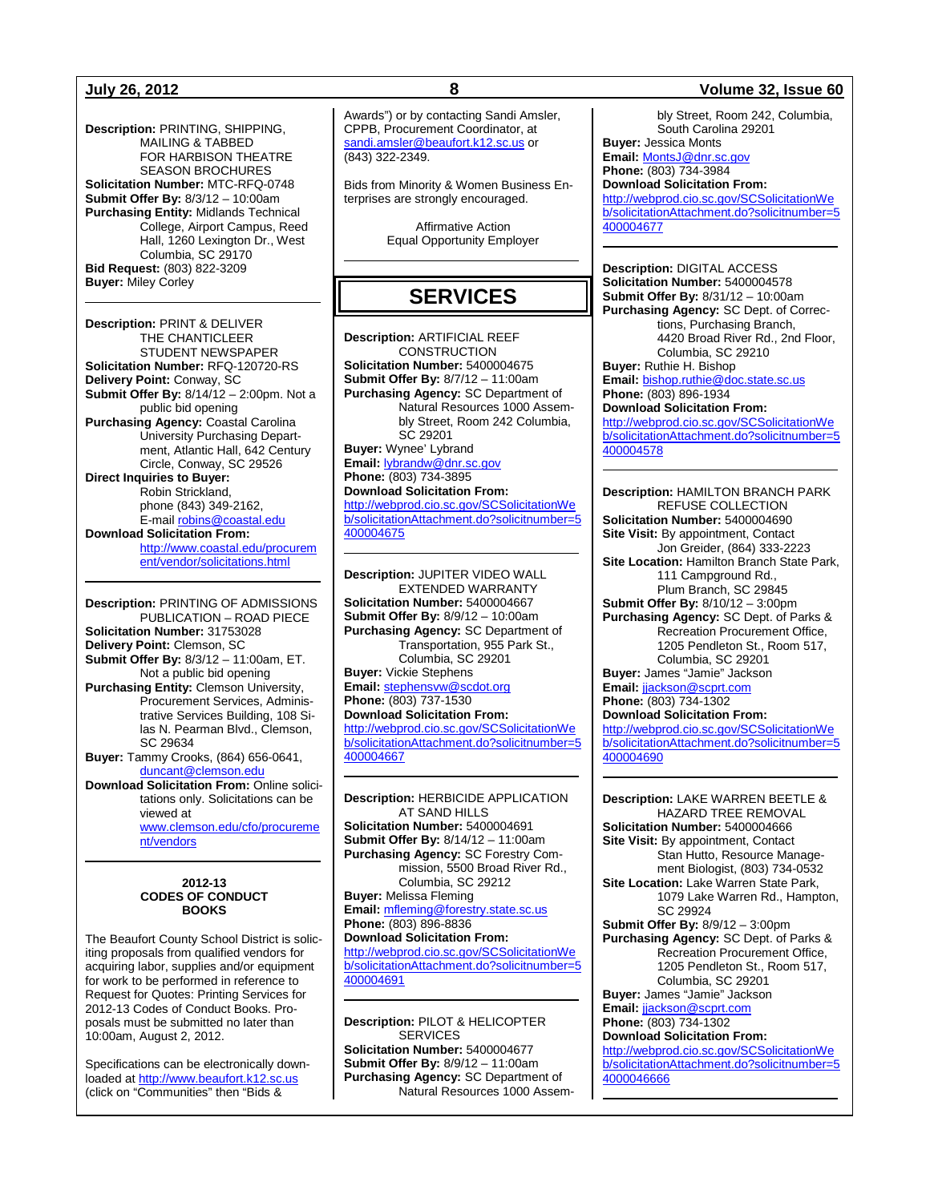**Description:** PRINTING, SHIPPING, MAILING & TABBED FOR HARBISON THEATRE SEASON BROCHURES **Solicitation Number:** MTC-RFQ-0748 **Submit Offer By:** 8/3/12 – 10:00am **Purchasing Entity:** Midlands Technical College, Airport Campus, Reed Hall, 1260 Lexington Dr., West Columbia, SC 29170 **Bid Request:** (803) 822-3209 **Buyer:** Miley Corley

**Description:** PRINT & DELIVER THE CHANTICLEER STUDENT NEWSPAPER **Solicitation Number:** RFQ-120720-RS **Delivery Point:** Conway, SC **Submit Offer By:** 8/14/12 – 2:00pm. Not a public bid opening **Purchasing Agency:** Coastal Carolina University Purchasing Department, Atlantic Hall, 642 Century Circle, Conway, SC 29526 **Direct Inquiries to Buyer:** Robin Strickland, phone (843) 349-2162, E-mail [robins@coastal.edu](mailto:robins@coastal.edu) **Download Solicitation From:** [http://www.coastal.edu/procurem](http://www.coastal.edu/procurement/vendor/solicitations.html) [ent/vendor/solicitations.html](http://www.coastal.edu/procurement/vendor/solicitations.html)

**Description:** PRINTING OF ADMISSIONS PUBLICATION – ROAD PIECE **Solicitation Number:** 31753028 **Delivery Point:** Clemson, SC **Submit Offer By:** 8/3/12 – 11:00am, ET. Not a public bid opening **Purchasing Entity:** Clemson University, Procurement Services, Administrative Services Building, 108 Silas N. Pearman Blvd., Clemson, SC 29634 **Buyer:** Tammy Crooks, (864) 656-0641, [duncant@clemson.edu](mailto:duncant@clemson.edu) **Download Solicitation From:** Online solicitations only. Solicitations can be viewed at [www.clemson.edu/cfo/procureme](http://www.clemson.edu/cfo/procurement/vendors) [nt/vendors](http://www.clemson.edu/cfo/procurement/vendors)

#### **2012-13 CODES OF CONDUCT BOOKS**

The Beaufort County School District is soliciting proposals from qualified vendors for acquiring labor, supplies and/or equipment for work to be performed in reference to Request for Quotes: Printing Services for 2012-13 Codes of Conduct Books. Proposals must be submitted no later than 10:00am, August 2, 2012.

Specifications can be electronically downloaded a[t http://www.beaufort.k12.sc.us](http://www.beaufort.k12.sc.us/) (click on "Communities" then "Bids &

Awards") or by contacting Sandi Amsler, CPPB, Procurement Coordinator, at [sandi.amsler@beaufort.k12.sc.us](mailto:sandi.amsler@beaufort.k12.sc.us) or (843) 322-2349.

Bids from Minority & Women Business Enterprises are strongly encouraged.

> Affirmative Action Equal Opportunity Employer

# **SERVICES**

**Description:** ARTIFICIAL REEF CONSTRUCTION **Solicitation Number:** 5400004675 **Submit Offer By:** 8/7/12 – 11:00am **Purchasing Agency:** SC Department of Natural Resources 1000 Assembly Street, Room 242 Columbia, SC 29201 **Buyer:** Wynee' Lybrand **Email:** [lybrandw@dnr.sc.gov](mailto:lybrandw@dnr.sc.gov) **Phone:** (803) 734-3895 **Download Solicitation From:** [http://webprod.cio.sc.gov/SCSolicitationWe](http://webprod.cio.sc.gov/SCSolicitationWeb/solicitationAttachment.do?solicitnumber=5400004675) [b/solicitationAttachment.do?solicitnumber=5](http://webprod.cio.sc.gov/SCSolicitationWeb/solicitationAttachment.do?solicitnumber=5400004675) [400004675](http://webprod.cio.sc.gov/SCSolicitationWeb/solicitationAttachment.do?solicitnumber=5400004675)

**Description:** JUPITER VIDEO WALL EXTENDED WARRANTY **Solicitation Number:** 5400004667 **Submit Offer By:** 8/9/12 – 10:00am **Purchasing Agency:** SC Department of Transportation, 955 Park St., Columbia, SC 29201 **Buyer:** Vickie Stephens **Email:** [stephensvw@scdot.org](mailto:stephensvw@scdot.org) **Phone:** (803) 737-1530 **Download Solicitation From:** [http://webprod.cio.sc.gov/SCSolicitationWe](http://webprod.cio.sc.gov/SCSolicitationWeb/solicitationAttachment.do?solicitnumber=5400004667) [b/solicitationAttachment.do?solicitnumber=5](http://webprod.cio.sc.gov/SCSolicitationWeb/solicitationAttachment.do?solicitnumber=5400004667) [400004667](http://webprod.cio.sc.gov/SCSolicitationWeb/solicitationAttachment.do?solicitnumber=5400004667)

**Description:** HERBICIDE APPLICATION AT SAND HILLS **Solicitation Number:** 5400004691 **Submit Offer By:** 8/14/12 – 11:00am **Purchasing Agency:** SC Forestry Commission, 5500 Broad River Rd., Columbia, SC 29212 **Buyer:** Melissa Fleming **Email:** [mfleming@forestry.state.sc.us](mailto:mfleming@forestry.state.sc.us) **Phone:** (803) 896-8836 **Download Solicitation From:** [http://webprod.cio.sc.gov/SCSolicitationWe](http://webprod.cio.sc.gov/SCSolicitationWeb/solicitationAttachment.do?solicitnumber=5400004691) [b/solicitationAttachment.do?solicitnumber=5](http://webprod.cio.sc.gov/SCSolicitationWeb/solicitationAttachment.do?solicitnumber=5400004691) [400004691](http://webprod.cio.sc.gov/SCSolicitationWeb/solicitationAttachment.do?solicitnumber=5400004691)

**Description:** PILOT & HELICOPTER **SERVICES Solicitation Number:** 5400004677 **Submit Offer By:** 8/9/12 – 11:00am **Purchasing Agency:** SC Department of Natural Resources 1000 Assem-

### **July 26, 2012 8 Volume 32, Issue 60**

bly Street, Room 242, Columbia, South Carolina 29201

**Buyer:** Jessica Monts **Email:** [MontsJ@dnr.sc.gov](mailto:MontsJ@dnr.sc.gov)

**Phone:** (803) 734-3984 **Download Solicitation From:**

[http://webprod.cio.sc.gov/SCSolicitationWe](http://webprod.cio.sc.gov/SCSolicitationWeb/solicitationAttachment.do?solicitnumber=5400004677) [b/solicitationAttachment.do?solicitnumber=5](http://webprod.cio.sc.gov/SCSolicitationWeb/solicitationAttachment.do?solicitnumber=5400004677) [400004677](http://webprod.cio.sc.gov/SCSolicitationWeb/solicitationAttachment.do?solicitnumber=5400004677)

**Description:** DIGITAL ACCESS **Solicitation Number:** 5400004578 **Submit Offer By:** 8/31/12 – 10:00am **Purchasing Agency:** SC Dept. of Corrections, Purchasing Branch, 4420 Broad River Rd., 2nd Floor, Columbia, SC 29210 **Buyer:** Ruthie H. Bishop **Email:** [bishop.ruthie@doc.state.sc.us](mailto:bishop.ruthie@doc.state.sc.us)

**Phone:** (803) 896-1934 **Download Solicitation From:**

[http://webprod.cio.sc.gov/SCSolicitationWe](http://webprod.cio.sc.gov/SCSolicitationWeb/solicitationAttachment.do?solicitnumber=5400004578) [b/solicitationAttachment.do?solicitnumber=5](http://webprod.cio.sc.gov/SCSolicitationWeb/solicitationAttachment.do?solicitnumber=5400004578) [400004578](http://webprod.cio.sc.gov/SCSolicitationWeb/solicitationAttachment.do?solicitnumber=5400004578)

**Description:** HAMILTON BRANCH PARK REFUSE COLLECTION **Solicitation Number:** 5400004690 **Site Visit:** By appointment, Contact Jon Greider, (864) 333-2223 **Site Location:** Hamilton Branch State Park, 111 Campground Rd., Plum Branch, SC 29845 **Submit Offer By:** 8/10/12 – 3:00pm **Purchasing Agency:** SC Dept. of Parks & Recreation Procurement Office, 1205 Pendleton St., Room 517, Columbia, SC 29201 **Buyer:** James "Jamie" Jackson **Email:** [jjackson@scprt.com](mailto:jjackson@scprt.com) **Phone:** (803) 734-1302 **Download Solicitation From:**

[http://webprod.cio.sc.gov/SCSolicitationWe](http://webprod.cio.sc.gov/SCSolicitationWeb/solicitationAttachment.do?solicitnumber=5400004690) [b/solicitationAttachment.do?solicitnumber=5](http://webprod.cio.sc.gov/SCSolicitationWeb/solicitationAttachment.do?solicitnumber=5400004690) [400004690](http://webprod.cio.sc.gov/SCSolicitationWeb/solicitationAttachment.do?solicitnumber=5400004690)

**Description:** LAKE WARREN BEETLE & HAZARD TREE REMOVAL **Solicitation Number:** 5400004666 **Site Visit:** By appointment, Contact Stan Hutto, Resource Management Biologist, (803) 734-0532 **Site Location:** Lake Warren State Park, 1079 Lake Warren Rd., Hampton, SC 29924 **Submit Offer By:** 8/9/12 – 3:00pm **Purchasing Agency:** SC Dept. of Parks & Recreation Procurement Office, 1205 Pendleton St., Room 517, Columbia, SC 29201 **Buyer:** James "Jamie" Jackson **Email:** [jjackson@scprt.com](mailto:jjackson@scprt.com) **Phone:** (803) 734-1302 **Download Solicitation From:** [http://webprod.cio.sc.gov/SCSolicitationWe](http://webprod.cio.sc.gov/SCSolicitationWeb/solicitationAttachment.do?solicitnumber=54000046666) [b/solicitationAttachment.do?solicitnumber=5](http://webprod.cio.sc.gov/SCSolicitationWeb/solicitationAttachment.do?solicitnumber=54000046666) [4000046666](http://webprod.cio.sc.gov/SCSolicitationWeb/solicitationAttachment.do?solicitnumber=54000046666)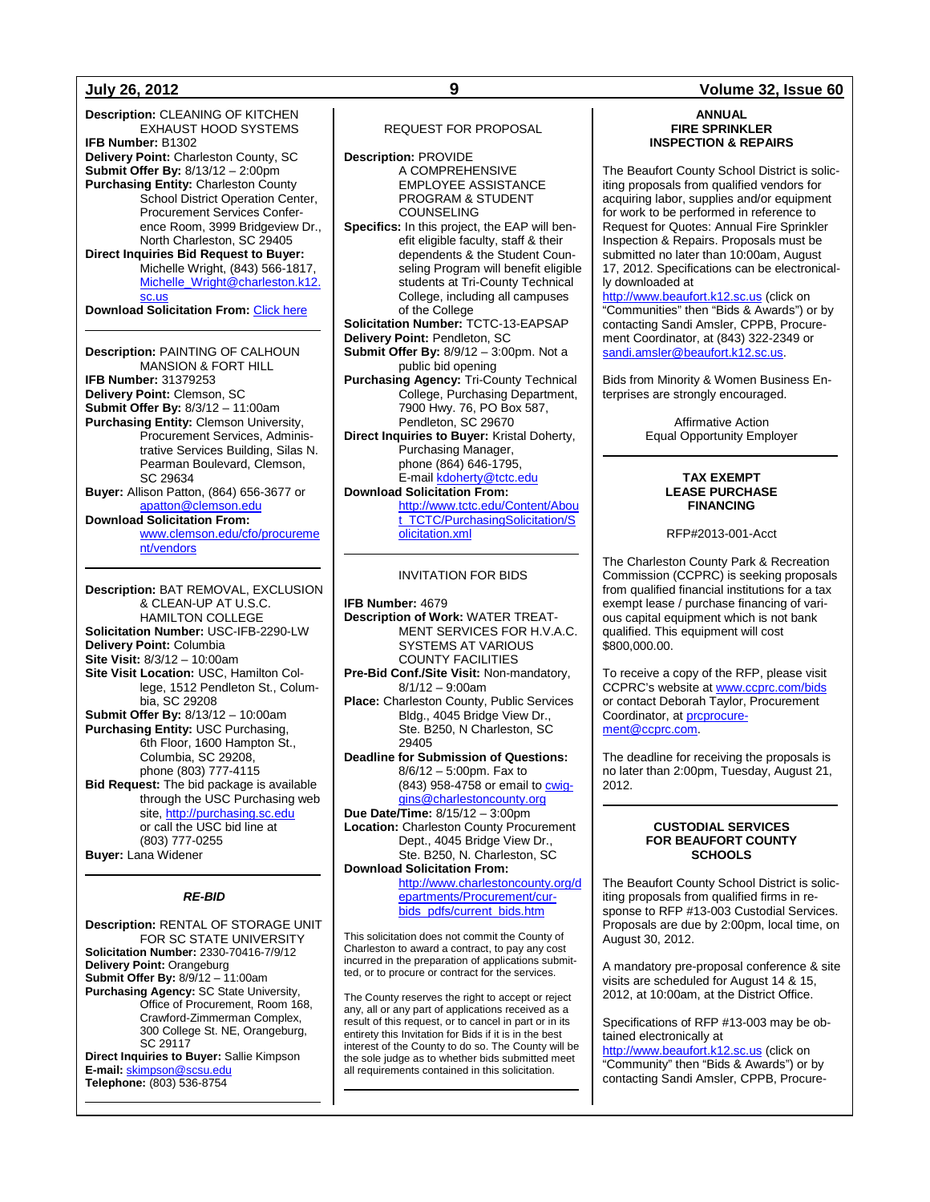**Description:** CLEANING OF KITCHEN EXHAUST HOOD SYSTEMS **IFB Number:** B1302 **Delivery Point:** Charleston County, SC **Submit Offer By:** 8/13/12 – 2:00pm **Purchasing Entity:** Charleston County School District Operation Center, Procurement Services Conference Room, 3999 Bridgeview Dr., North Charleston, SC 29405 **Direct Inquiries Bid Request to Buyer:** Michelle Wright, (843) 566-1817, [Michelle\\_Wright@charleston.k12.](mailto:Michelle_Wright@charleston.k12.sc.us) [sc.us](mailto:Michelle_Wright@charleston.k12.sc.us) **Download Solicitation From:** [Click here](http://www.ccsdschools.com/OperationsHumansCapitalFacilities/FinanceOperations/ContractsProcurement/SuppliesServicesSolicitations/index.php) **Description:** PAINTING OF CALHOUN MANSION & FORT HILL **IFB Number:** 31379253 **Delivery Point:** Clemson, SC **Submit Offer By:** 8/3/12 – 11:00am **Purchasing Entity:** Clemson University, Procurement Services, Administrative Services Building, Silas N. Pearman Boulevard, Clemson, SC 29634 **Buyer:** Allison Patton, (864) 656-3677 or [apatton@clemson.edu](mailto:apatton@clemson.edu) **Download Solicitation From:** [www.clemson.edu/cfo/procureme](http://www.clemson.edu/cfo/procurement/vendors) [nt/vendors](http://www.clemson.edu/cfo/procurement/vendors) **Description:** BAT REMOVAL, EXCLUSION & CLEAN-UP AT U.S.C. HAMILTON COLLEGE **Solicitation Number:** USC-IFB-2290-LW **Delivery Point:** Columbia

**Site Visit:** 8/3/12 – 10:00am **Site Visit Location:** USC, Hamilton College, 1512 Pendleton St., Columbia, SC 29208 **Submit Offer By:** 8/13/12 – 10:00am **Purchasing Entity:** USC Purchasing, 6th Floor, 1600 Hampton St., Columbia, SC 29208, phone (803) 777-4115 **Bid Request:** The bid package is available through the USC Purchasing web site, [http://purchasing.sc.edu](http://purchasing.sc.edu/) or call the USC bid line at (803) 777-0255 **Buyer:** Lana Widener

#### *RE-BID*

**Description:** RENTAL OF STORAGE UNIT FOR SC STATE UNIVERSITY **Solicitation Number:** 2330-70416-7/9/12 **Delivery Point:** Orangeburg **Submit Offer By:** 8/9/12 – 11:00am **Purchasing Agency:** SC State University, Office of Procurement, Room 168, Crawford-Zimmerman Complex, 300 College St. NE, Orangeburg, SC 29117 **Direct Inquiries to Buyer:** Sallie Kimpson **E-mail:** [skimpson@scsu.edu](mailto:skimpson@scsu.edu)

**Telephone:** (803) 536-8754

#### REQUEST FOR PROPOSAL

**Description:** PROVIDE A COMPREHENSIVE EMPLOYEE ASSISTANCE PROGRAM & STUDENT COUNSELING **Specifics:** In this project, the EAP will benefit eligible faculty, staff & their dependents & the Student Counseling Program will benefit eligible students at Tri-County Technical College, including all campuses of the College **Solicitation Number:** TCTC-13-EAPSAP **Delivery Point:** Pendleton, SC **Submit Offer By:** 8/9/12 – 3:00pm. Not a public bid opening **Purchasing Agency:** Tri-County Technical College, Purchasing Department, 7900 Hwy. 76, PO Box 587, Pendleton, SC 29670

**Direct Inquiries to Buyer:** Kristal Doherty, Purchasing Manager, phone (864) 646-1795, E-mai[l kdoherty@tctc.edu](mailto:kdoherty@tctc.edu)

**Download Solicitation From:** [http://www.tctc.edu/Content/Abou](http://www.tctc.edu/Content/About_TCTC/PurchasingSolicitation/Solicitation.xml) [t\\_TCTC/PurchasingSolicitation/S](http://www.tctc.edu/Content/About_TCTC/PurchasingSolicitation/Solicitation.xml) [olicitation.xml](http://www.tctc.edu/Content/About_TCTC/PurchasingSolicitation/Solicitation.xml)

#### INVITATION FOR BIDS

**IFB Number:** 4679 **Description of Work:** WATER TREAT-MENT SERVICES FOR H.V.A.C. SYSTEMS AT VARIOUS COUNTY FACILITIES **Pre-Bid Conf./Site Visit:** Non-mandatory, 8/1/12 – 9:00am

**Place:** Charleston County, Public Services Bldg., 4045 Bridge View Dr., Ste. B250, N Charleston, SC 29405

**Deadline for Submission of Questions:** 8/6/12 – 5:00pm. Fax to (843) 958-4758 or email to **cwig**[gins@charlestoncounty.org](mailto:cwiggins@charlestoncounty.org)

**Due Date/Time:** 8/15/12 – 3:00pm **Location:** Charleston County Procurement Dept., 4045 Bridge View Dr., Ste. B250, N. Charleston, SC

**Download Solicitation From:** [http://www.charlestoncounty.org/d](http://www.charlestoncounty.org/departments/Procurement/cur-bids_pdfs/current_bids.htm) [epartments/Procurement/cur](http://www.charlestoncounty.org/departments/Procurement/cur-bids_pdfs/current_bids.htm)[bids\\_pdfs/current\\_bids.htm](http://www.charlestoncounty.org/departments/Procurement/cur-bids_pdfs/current_bids.htm)

This solicitation does not commit the County of Charleston to award a contract, to pay any cost incurred in the preparation of applications submitted, or to procure or contract for the services.

The County reserves the right to accept or reject any, all or any part of applications received as a result of this request, or to cancel in part or in its entirety this Invitation for Bids if it is in the best interest of the County to do so. The County will be the sole judge as to whether bids submitted meet all requirements contained in this solicitation.

#### **ANNUAL FIRE SPRINKLER INSPECTION & REPAIRS**

The Beaufort County School District is soliciting proposals from qualified vendors for acquiring labor, supplies and/or equipment for work to be performed in reference to Request for Quotes: Annual Fire Sprinkler Inspection & Repairs. Proposals must be submitted no later than 10:00am, August 17, 2012. Specifications can be electronically downloaded at

[http://www.beaufort.k12.sc.us](http://www.beaufort.k12.sc.us/) (click on "Communities" then "Bids & Awards") or by contacting Sandi Amsler, CPPB, Procurement Coordinator, at (843) 322-2349 or [sandi.amsler@beaufort.k12.sc.us.](mailto:sandi.amsler@beaufort.k12.sc.us)

Bids from Minority & Women Business Enterprises are strongly encouraged.

> Affirmative Action Equal Opportunity Employer

#### **TAX EXEMPT LEASE PURCHASE FINANCING**

RFP#2013-001-Acct

The Charleston County Park & Recreation Commission (CCPRC) is seeking proposals from qualified financial institutions for a tax exempt lease / purchase financing of various capital equipment which is not bank qualified. This equipment will cost \$800,000.00.

To receive a copy of the RFP, please visit CCPRC's website a[t www.ccprc.com/bids](http://www.ccprc.com/bids) or contact Deborah Taylor, Procurement Coordinator, at **prcprocure**[ment@ccprc.com.](mailto:prcprocurement@ccprc.com)

The deadline for receiving the proposals is no later than 2:00pm, Tuesday, August 21, 2012.

#### **CUSTODIAL SERVICES FOR BEAUFORT COUNTY SCHOOLS**

The Beaufort County School District is soliciting proposals from qualified firms in response to RFP #13-003 Custodial Services. Proposals are due by 2:00pm, local time, on August 30, 2012.

A mandatory pre-proposal conference & site visits are scheduled for August 14 & 15, 2012, at 10:00am, at the District Office.

Specifications of RFP #13-003 may be obtained electronically at

[http://www.beaufort.k12.sc.us](http://www.beaufort.k12.sc.us/) (click on "Community" then "Bids & Awards") or by contacting Sandi Amsler, CPPB, Procure-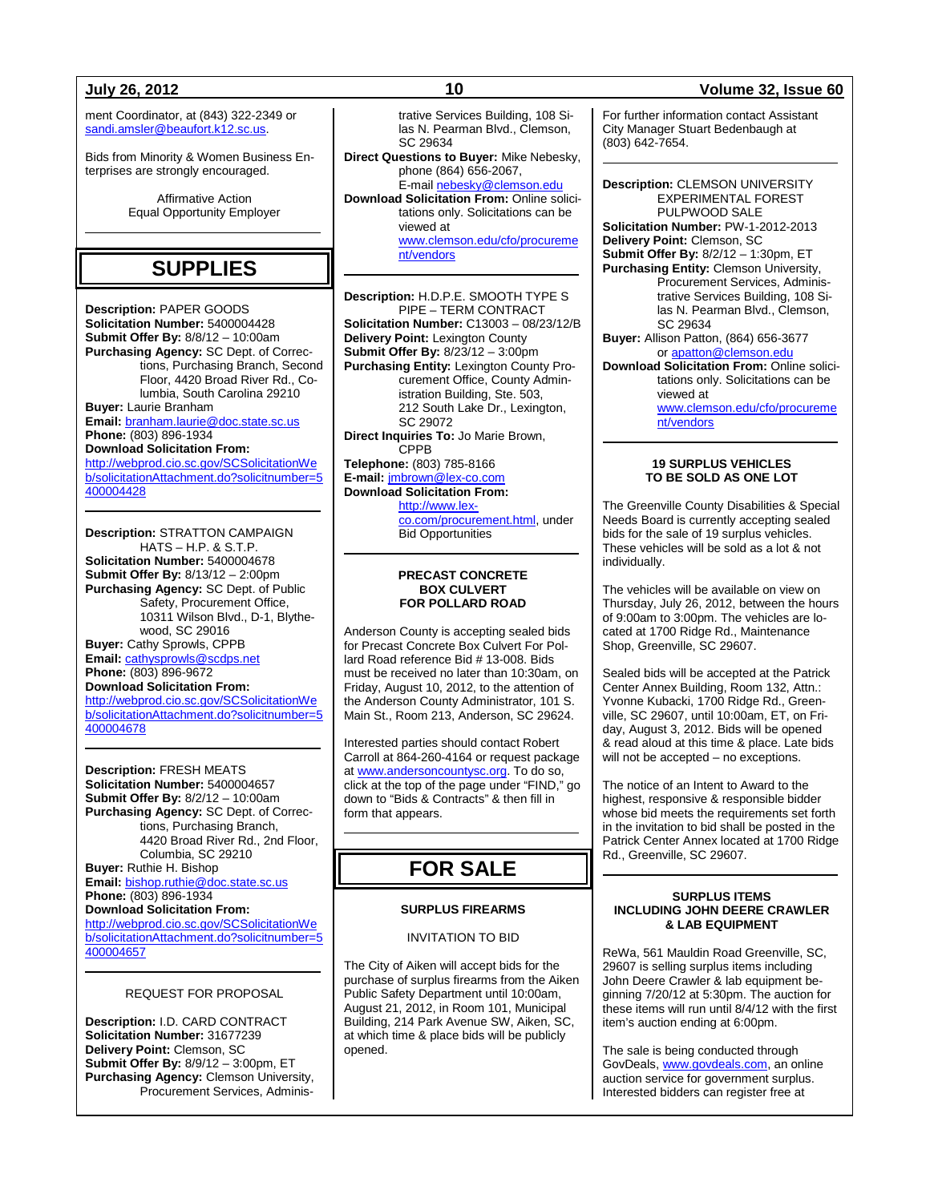ment Coordinator, at (843) 322-2349 or [sandi.amsler@beaufort.k12.sc.us.](mailto:sandi.amsler@beaufort.k12.sc.us)

Bids from Minority & Women Business Enterprises are strongly encouraged.

> Affirmative Action Equal Opportunity Employer

# **SUPPLIES**

**Description:** PAPER GOODS **Solicitation Number:** 5400004428 **Submit Offer By:** 8/8/12 – 10:00am **Purchasing Agency:** SC Dept. of Corrections, Purchasing Branch, Second Floor, 4420 Broad River Rd., Columbia, South Carolina 29210 **Buyer:** Laurie Branham **Email:** [branham.laurie@doc.state.sc.us](mailto:branham.laurie@doc.state.sc.us) **Phone:** (803) 896-1934 **Download Solicitation From:** [http://webprod.cio.sc.gov/SCSolicitationWe](http://webprod.cio.sc.gov/SCSolicitationWeb/solicitationAttachment.do?solicitnumber=5400004428) [b/solicitationAttachment.do?solicitnumber=5](http://webprod.cio.sc.gov/SCSolicitationWeb/solicitationAttachment.do?solicitnumber=5400004428) [400004428](http://webprod.cio.sc.gov/SCSolicitationWeb/solicitationAttachment.do?solicitnumber=5400004428)

**Description:** STRATTON CAMPAIGN HATS – H.P. & S.T.P. **Solicitation Number:** 5400004678 **Submit Offer By:** 8/13/12 – 2:00pm **Purchasing Agency:** SC Dept. of Public Safety, Procurement Office, 10311 Wilson Blvd., D-1, Blythewood, SC 29016 **Buyer:** Cathy Sprowls, CPPB **Email:** [cathysprowls@scdps.net](mailto:cathysprowls@scdps.net) **Phone:** (803) 896-9672 **Download Solicitation From:** [http://webprod.cio.sc.gov/SCSolicitationWe](http://webprod.cio.sc.gov/SCSolicitationWeb/solicitationAttachment.do?solicitnumber=5400004678) [b/solicitationAttachment.do?solicitnumber=5](http://webprod.cio.sc.gov/SCSolicitationWeb/solicitationAttachment.do?solicitnumber=5400004678)

[400004678](http://webprod.cio.sc.gov/SCSolicitationWeb/solicitationAttachment.do?solicitnumber=5400004678)

**Description:** FRESH MEATS **Solicitation Number:** 5400004657 **Submit Offer By:** 8/2/12 – 10:00am **Purchasing Agency:** SC Dept. of Corrections, Purchasing Branch, 4420 Broad River Rd., 2nd Floor, Columbia, SC 29210 **Buyer:** Ruthie H. Bishop **Email:** [bishop.ruthie@doc.state.sc.us](mailto:bishop.ruthie@doc.state.sc.us) **Phone:** (803) 896-1934 **Download Solicitation From:** [http://webprod.cio.sc.gov/SCSolicitationWe](http://webprod.cio.sc.gov/SCSolicitationWeb/solicitationAttachment.do?solicitnumber=5400004657) [b/solicitationAttachment.do?solicitnumber=5](http://webprod.cio.sc.gov/SCSolicitationWeb/solicitationAttachment.do?solicitnumber=5400004657) [400004657](http://webprod.cio.sc.gov/SCSolicitationWeb/solicitationAttachment.do?solicitnumber=5400004657)

#### REQUEST FOR PROPOSAL

**Description:** I.D. CARD CONTRACT **Solicitation Number:** 31677239 **Delivery Point:** Clemson, SC **Submit Offer By:** 8/9/12 – 3:00pm, ET **Purchasing Agency:** Clemson University, Procurement Services, Adminis-

trative Services Building, 108 Silas N. Pearman Blvd., Clemson, SC 29634

**Direct Questions to Buyer:** Mike Nebesky, phone (864) 656-2067, E-mai[l nebesky@clemson.edu](mailto:nebesky@clemson.edu) **Download Solicitation From:** Online solicitations only. Solicitations can be viewed at [www.clemson.edu/cfo/procureme](http://www.clemson.edu/cfo/procurement/vendors) [nt/vendors](http://www.clemson.edu/cfo/procurement/vendors)

**Description:** H.D.P.E. SMOOTH TYPE S PIPE – TERM CONTRACT **Solicitation Number:** C13003 – 08/23/12/B **Delivery Point:** Lexington County **Submit Offer By:** 8/23/12 – 3:00pm **Purchasing Entity: Lexington County Pro**curement Office, County Administration Building, Ste. 503, 212 South Lake Dr., Lexington, SC 29072 **Direct Inquiries To:** Jo Marie Brown, CPPB **Telephone:** (803) 785-8166 **E-mail:** [jmbrown@lex-co.com](mailto:jmbrown@lex-co.com) **Download Solicitation From:**

[http://www.lex](http://www.lex-co.com/procurement.html)[co.com/procurement.html,](http://www.lex-co.com/procurement.html) under Bid Opportunities

#### **PRECAST CONCRETE BOX CULVERT FOR POLLARD ROAD**

Anderson County is accepting sealed bids for Precast Concrete Box Culvert For Pollard Road reference Bid # 13-008. Bids must be received no later than 10:30am, on Friday, August 10, 2012, to the attention of the Anderson County Administrator, 101 S. Main St., Room 213, Anderson, SC 29624.

Interested parties should contact Robert Carroll at 864-260-4164 or request package a[t www.andersoncountysc.org.](http://www.andersoncountysc.org/) To do so, click at the top of the page under "FIND," go down to "Bids & Contracts" & then fill in form that appears.

# **FOR SALE**

#### **SURPLUS FIREARMS**

#### INVITATION TO BID

The City of Aiken will accept bids for the purchase of surplus firearms from the Aiken Public Safety Department until 10:00am, August 21, 2012, in Room 101, Municipal Building, 214 Park Avenue SW, Aiken, SC, at which time & place bids will be publicly opened.

### **July 26, 2012 10 Volume 32, Issue 60**

For further information contact Assistant City Manager Stuart Bedenbaugh at (803) 642-7654.

**Description:** CLEMSON UNIVERSITY EXPERIMENTAL FOREST PULPWOOD SALE **Solicitation Number:** PW-1-2012-2013 **Delivery Point:** Clemson, SC **Submit Offer By:** 8/2/12 – 1:30pm, ET **Purchasing Entity:** Clemson University, Procurement Services, Administrative Services Building, 108 Silas N. Pearman Blvd., Clemson, SC 29634 **Buyer:** Allison Patton, (864) 656-3677 or [apatton@clemson.edu](mailto:apatton@clemson.edu) **Download Solicitation From:** Online solicitations only. Solicitations can be viewed at [www.clemson.edu/cfo/procureme](http://www.clemson.edu/cfo/procurement/vendors) [nt/vendors](http://www.clemson.edu/cfo/procurement/vendors)

> **19 SURPLUS VEHICLES TO BE SOLD AS ONE LOT**

The Greenville County Disabilities & Special Needs Board is currently accepting sealed bids for the sale of 19 surplus vehicles. These vehicles will be sold as a lot & not individually.

The vehicles will be available on view on Thursday, July 26, 2012, between the hours of 9:00am to 3:00pm. The vehicles are located at 1700 Ridge Rd., Maintenance Shop, Greenville, SC 29607.

Sealed bids will be accepted at the Patrick Center Annex Building, Room 132, Attn.: Yvonne Kubacki, 1700 Ridge Rd., Greenville, SC 29607, until 10:00am, ET, on Friday, August 3, 2012. Bids will be opened & read aloud at this time & place. Late bids will not be accepted – no exceptions.

The notice of an Intent to Award to the highest, responsive & responsible bidder whose bid meets the requirements set forth in the invitation to bid shall be posted in the Patrick Center Annex located at 1700 Ridge Rd., Greenville, SC 29607.

#### **SURPLUS ITEMS INCLUDING JOHN DEERE CRAWLER & LAB EQUIPMENT**

ReWa, 561 Mauldin Road Greenville, SC, 29607 is selling surplus items including John Deere Crawler & lab equipment beginning 7/20/12 at 5:30pm. The auction for these items will run until 8/4/12 with the first item's auction ending at 6:00pm.

The sale is being conducted through GovDeals[, www.govdeals.com,](http://www.govdeals.com/) an online auction service for government surplus. Interested bidders can register free at